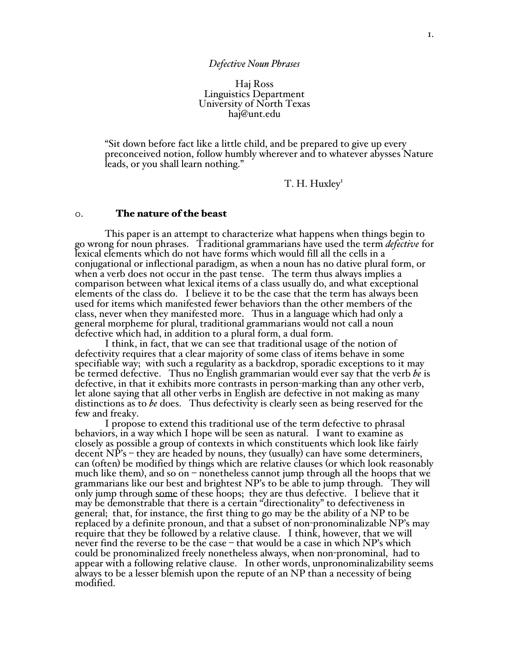Haj Ross Linguistics Department University of North Texas haj@unt.edu

"Sit down before fact like a little child, and be prepared to give up every preconceived notion, follow humbly wherever and to whatever abysses Nature leads, or you shall learn nothing."

T. H. Huxley<sup>1</sup>

#### 0. The nature of the beast

This paper is an attempt to characterize what happens when things begin to go wrong for noun phrases. Traditional grammarians have used the term *defective* for lexical elements which do not have forms which would fill all the cells in a conjugational or inflectional paradigm, as when a noun has no dative plural form, or when a verb does not occur in the past tense. The term thus always implies a comparison between what lexical items of a class usually do, and what exceptional elements of the class do. I believe it to be the case that the term has always been used for items which manifested fewer behaviors than the other members of the class, never when they manifested more. Thus in a language which had only a general morpheme for plural, traditional grammarians would not call a noun defective which had, in addition to a plural form, a dual form.

I think, in fact, that we can see that traditional usage of the notion of defectivity requires that a clear majority of some class of items behave in some specifiable way; with such a regularity as a backdrop, sporadic exceptions to it may be termed defective. Thus no English grammarian would ever say that the verb *be* is defective, in that it exhibits more contrasts in person-marking than any other verb, let alone saying that all other verbs in English are defective in not making as many distinctions as to *be* does. Thus defectivity is clearly seen as being reserved for the few and freaky.

I propose to extend this traditional use of the term defective to phrasal behaviors, in a way which I hope will be seen as natural. I want to examine as closely as possible a group of contexts in which constituents which look like fairly decent NP's – they are headed by nouns, they (usually) can have some determiners, can (often) be modified by things which are relative clauses (or which look reasonably much like them), and so on – nonetheless cannot jump through all the hoops that we grammarians like our best and brightest NP's to be able to jump through. They will only jump through some of these hoops; they are thus defective. I believe that it may be demonstrable that there is a certain "directionality" to defectiveness in general; that, for instance, the first thing to go may be the ability of a NP to be replaced by a definite pronoun, and that a subset of non-pronominalizable NP's may require that they be followed by a relative clause. I think, however, that we will never find the reverse to be the case – that would be a case in which NP's which could be pronominalized freely nonetheless always, when non-pronominal, had to appear with a following relative clause. In other words, unpronominalizability seems always to be a lesser blemish upon the repute of an NP than a necessity of being modified.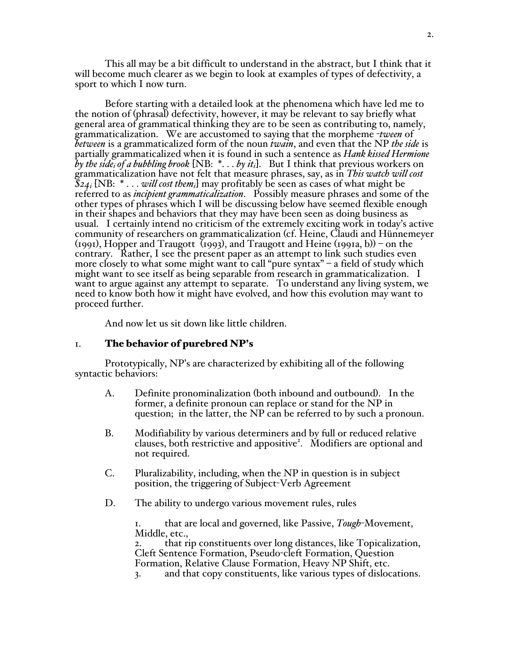This all may be a bit difficult to understand in the abstract, but I think that it will become much clearer as we begin to look at examples of types of defectivity, a sport to which I now turn.

Before starting with a detailed look at the phenomena which have led me to the notion of (phrasal) defectivity, however, it may be relevant to say briefly what general area of grammatical thinking they are to be seen as contributing to, namely, grammaticalization. We are accustomed to saying that the morpheme -*tween* of *between* is a grammaticalized form of the noun *twain*, and even that the NP *the side* is partially grammaticalized when it is found in such a sentence as *Hank kissed Hermione by the sidei of a bubbling brook* [NB: \*. . . *by iti*]. But I think that previous workers on grammaticalization have not felt that measure phrases, say, as in *This watch will cost \$24i* [NB: \* . . . *will cost themi*] may profitably be seen as cases of what might be referred to as *incipient grammaticalization*. Possibly measure phrases and some of the other types of phrases which I will be discussing below have seemed flexible enough in their shapes and behaviors that they may have been seen as doing business as usual. I certainly intend no criticism of the extremely exciting work in today's active community of researchers on grammaticalization (cf. Heine, Claudi and Hünnemeyer (1991), Hopper and Traugott (1993), and Traugott and Heine (1991a, b)) – on the contrary. Rather, I see the present paper as an attempt to link such studies even more closely to what some might want to call "pure syntax" – a field of study which might want to see itself as being separable from research in grammaticalization. I want to argue against any attempt to separate. To understand any living system, we need to know both how it might have evolved, and how this evolution may want to proceed further. 

And now let us sit down like little children.

## 1. The behavior of purebred NP's

Prototypically, NP's are characterized by exhibiting all of the following syntactic behaviors:

- A. Definite pronominalization (both inbound and outbound). In the former, a definite pronoun can replace or stand for the NP in question; in the latter, the NP can be referred to by such a pronoun.
- B. Modifiability by various determiners and by full or reduced relative clauses, both restrictive and appositive<sup>2</sup>. Modifiers are optional and not required.
- C. Pluralizability, including, when the NP in question is in subject position, the triggering of Subject-Verb Agreement
- D. The ability to undergo various movement rules, rules

1. that are local and governed, like Passive, *Tough*-Movement, Middle, etc.,<br>2. that rip constituents over long distances, like Topicalization,

Cleft Sentence Formation, Pseudo-cleft Formation, Question Formation, Relative Clause Formation, Heavy NP Shift, etc. 3. and that copy constituents, like various types of dislocations.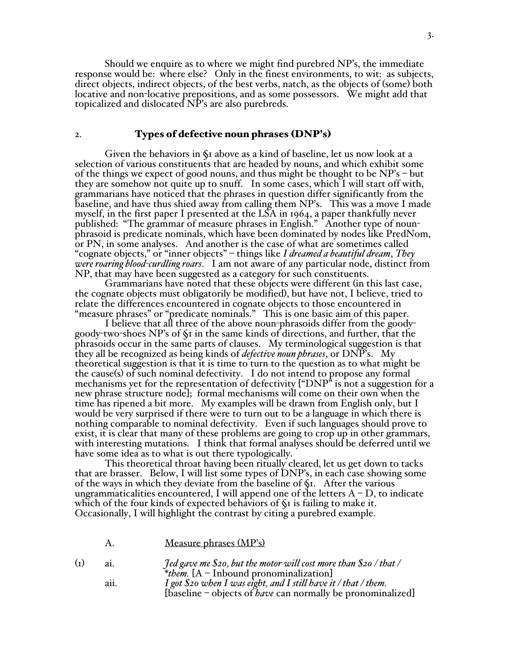Should we enquire as to where we might find purebred NP's, the immediate response would be: where else? Only in the finest environments, to wit: as subjects, direct objects, indirect objects, of the best verbs, natch, as the objects of (some) both locative and non-locative prepositions, and as some possessors. We might add that topicalized and dislocated NP's are also purebreds.

#### 2. Types of defective noun phrases (DNP's)

Given the behaviors in §1 above as a kind of baseline, let us now look at a selection of various constituents that are headed by nouns, and which exhibit some of the things we expect of good nouns, and thus might be thought to be NP's – but they are somehow not quite up to snuff. In some cases, which I will start off with, grammarians have noticed that the phrases in question differ significantly from the baseline, and have thus shied away from calling them NP's. This was a move I made myself, in the first paper I presented at the LSA in 1964, a paper thankfully never<br>published: "The grammar of measure phrases in English." Another type of nounphrasoid is predicate nominals, which have been dominated by nodes like PredNom, or PN, in some analyses. And another is the case of what are sometimes called "cognate objects," or "inner objects" – things like *I dreamed a beautiful dream*, *They were roaring blood-curdling roars*. I am not aware of any particular node, distinct from NP, that may have been suggested as a category for such constituents.

Grammarians have noted that these objects were different (in this last case, the cognate objects must obligatorily be modified), but have not, I believe, tried to relate the differences encountered in cognate objects to those encountered in "measure phrases" or "predicate nominals." This is one basic aim of this paper.

I believe that all three of the above noun-phrasoids differ from the goodygoody-two-shoes NP's of §1 in the same kinds of directions, and further, that the phrasoids occur in the same parts of clauses. My terminological suggestion is that they all be recognized as being kinds of *defective noun phrases*, or DNP's. My theoretical suggestion is that it is time to turn to the question as to what might be the cause(s) of such nominal defectivity. I do not intend to propose any formal mechanisms yet for the representation of defectivity ["DNP" is not a suggestion for a new phrase structure node]; formal mechanisms will come on their own when the time has ripened a bit more. My examples will be drawn from English only, but I would be very surprised if there were to turn out to be a language in which there is nothing comparable to nominal defectivity. Even if such languages should prove to exist, it is clear that many of these problems are going to crop up in other grammars, with interesting mutations. I think that formal analyses should be deferred until we have some idea as to what is out there typologically.

This theoretical throat having been ritually cleared, let us get down to tacks that are brasser. Below, I will list some types of DNP's, in each case showing some of the ways in which they deviate from the baseline of §1. After the various ungrammaticalities encountered, I will append one of the letters  $A - D$ , to indicate which of the four kinds of expected behaviors of §1 is failing to make it. Occasionally, I will highlight the contrast by citing a purebred example.

|                |      | Measure phrases (MP's)                                                                                                          |
|----------------|------|---------------------------------------------------------------------------------------------------------------------------------|
| $\textbf{(I)}$ | ai.  | <i>Jed gave me \$20, but the motor will cost more than \$20 / that /</i><br>* <i>them.</i> $[A - Inbound pronominalization]$    |
|                | aii. | I got $$20$ when I was eight, and I still have it / that / them.<br>[baseline - objects of have can normally be pronominalized] |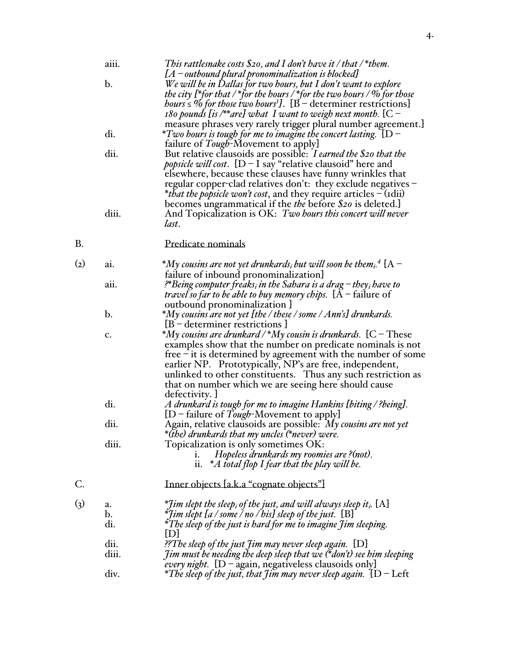|                    | aiii.                       | This rattlesnake costs $\$$ 20, and I don't have it / that /* them.<br>$[A - outbound$ plural pronominalization is blocked]                                                                                                                                                                                                                                                                                                            |
|--------------------|-----------------------------|----------------------------------------------------------------------------------------------------------------------------------------------------------------------------------------------------------------------------------------------------------------------------------------------------------------------------------------------------------------------------------------------------------------------------------------|
|                    | $\mathbf b$ .               | We will be in Dallas for two hours, but I don't want to explore<br>the city [*for that / *for the hours / *for the two hours / $\%$ for those<br><i>hours</i> $\leq$ % for those two hours <sup>3</sup> ]. [B – determiner restrictions]<br>180 pounds [is /**are] what I want to weigh next month. $[C -$                                                                                                                             |
|                    | di.                         | measure phrases very rarely trigger plural number agreement.<br>*Two hours is tough for me to imagine the concert lasting. $\rm \, \{D^-$<br>failure of <i>Tough</i> -Movement to apply                                                                                                                                                                                                                                                |
|                    | dii.                        | But relative clausoids are possible: I earned the \$20 that the<br><i>popsicle will cost.</i> $[D - I \text{ say "relative clausoid" here and$<br>elsewhere, because these clauses have funny wrinkles that<br>regular copper-clad relatives don't: they exclude negatives –<br><i>*that the popsicle won't cost</i> , and they require articles $-$ (idii)<br>becomes ungrammatical if the <i>the</i> before <i>\$20</i> is deleted.] |
|                    | diii.                       | And Topicalization is OK: Two hours this concert will never<br>last.                                                                                                                                                                                                                                                                                                                                                                   |
| В.                 |                             | Predicate nominals                                                                                                                                                                                                                                                                                                                                                                                                                     |
| $\rm _{(2)}$       | a1.                         | $^*M$ y cousins are not yet drunkards <sub>i</sub> but will soon be them <sub>i</sub> . <sup>4</sup> $\rm [A-$<br>failure of inbound pronominalization                                                                                                                                                                                                                                                                                 |
|                    | aii.                        | <sup>2</sup> *Being computer freaks <sub>i</sub> in the Sahara is a drag – they <sub>i</sub> have to<br><i>travel so far to be able to buy memory chips.</i> ${A}$ – failure of<br>outbound pronominalization J                                                                                                                                                                                                                        |
|                    | $\mathbf b$ .               | *My cousins are not yet [the / these / some / Ann's] drunkards.<br>$[B - determiner restrictions]$                                                                                                                                                                                                                                                                                                                                     |
|                    | c.                          | *My cousins are drunkard / *My cousin is drunkards. $[C - These]$<br>examples show that the number on predicate nominals is not<br>free $-$ it is determined by agreement with the number of some<br>earlier NP. Prototypically, NP's are free, independent,<br>unlinked to other constituents. Thus any such restriction as<br>that on number which we are seeing here should cause<br>defectivity. J                                 |
|                    | di.                         | A drunkard is tough for me to imagine Hankins [biting / ?being].<br>$[D - failure of Tough-Movement to apply]$                                                                                                                                                                                                                                                                                                                         |
|                    | dii.                        | Again, relative clausoids are possible: My cousins are not yet<br>*(the) drunkards that my uncles (*never) were.                                                                                                                                                                                                                                                                                                                       |
|                    | diii.                       | Topicalization is only sometimes OK:<br>Hopeless drunkards my roomies are ?(not).<br>ii. $*A$ total flop I fear that the play will be.                                                                                                                                                                                                                                                                                                 |
| C.                 |                             | Inner objects [a.k.a "cognate objects"]                                                                                                                                                                                                                                                                                                                                                                                                |
| $\left( 3 \right)$ | a.<br>$\mathbf{b}$ .<br>di. | *Jim slept the sleep <sub>i</sub> of the just, and will always sleep it <sub>i</sub> . [A]<br>$*$ fim slept [a / some / no / his] sleep of the just. $[B]$<br>*The sleep of the just is hard for me to imagine Jim sleeping.                                                                                                                                                                                                           |
|                    | dii.<br>diii.               | [D]<br>??The sleep of the just Jim may never sleep again. [D]<br><i>Jim must be needing the deep sleep that we <math>(*</math>don't) see him sleeping</i><br><i>every night.</i> $[D - again, negativeless clauses only]$                                                                                                                                                                                                              |
|                    | div.                        | *The sleep of the just, that Jim may never sleep again. $[D-{\rm Left}]$                                                                                                                                                                                                                                                                                                                                                               |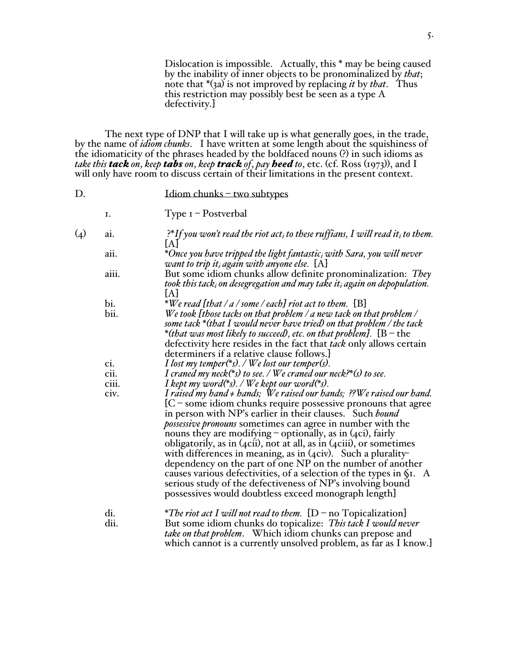Dislocation is impossible. Actually, this \* may be being caused by the inability of inner objects to be pronominalized by *that*; note that \*(3a) is not improved by replacing *it* by *that*. Thus this restriction may possibly best be seen as a type A defectivity.]

The next type of DNP that I will take up is what generally goes, in the trade, by the name of *idiom chunks*. I have written at some length about the squishiness of the idiomaticity of the phrases headed by the boldfaced nouns (?) in such idioms as *take this tack on*, *keep tabs on*, *keep track of*, *pay heed to*, etc. (cf. Ross (1973)), and I will only have room to discuss certain of their limitations in the present context.

| D.                 |             | $Idiom$ chunks – two subtypes                                                                                                                                                                                                                                                                                                                                                                                                                                                                                                                                                                                                                                                                                                                         |
|--------------------|-------------|-------------------------------------------------------------------------------------------------------------------------------------------------------------------------------------------------------------------------------------------------------------------------------------------------------------------------------------------------------------------------------------------------------------------------------------------------------------------------------------------------------------------------------------------------------------------------------------------------------------------------------------------------------------------------------------------------------------------------------------------------------|
|                    | I.          | $Type I - Postverbal$                                                                                                                                                                                                                                                                                                                                                                                                                                                                                                                                                                                                                                                                                                                                 |
| $\left( 4 \right)$ | ai.         | ?*If you won't read the riot act, to these ruffians, I will read it, to them.<br>{A}                                                                                                                                                                                                                                                                                                                                                                                                                                                                                                                                                                                                                                                                  |
|                    | aii.        | *Once you have tripped the light fantastic <sub>i</sub> with Sara, you will never<br>want to trip it, again with anyone else. $[A]$                                                                                                                                                                                                                                                                                                                                                                                                                                                                                                                                                                                                                   |
|                    | aiii.       | But some idiom chunks allow definite pronominalization: They<br>took this tack, on desegregation and may take it, again on depopulation.<br>[A]                                                                                                                                                                                                                                                                                                                                                                                                                                                                                                                                                                                                       |
|                    | bi.<br>bii. | *We read [that / a / some / each] riot act to them. $[B]$<br>We took [those tacks on that problem / a new tack on that problem / $\,$<br>some tack *(that I would never have tried) on that problem / the tack<br>*(that was most likely to succeed), etc. on that problem]. $[B - the]$<br>defectivity here resides in the fact that tack only allows certain<br>determiners if a relative clause follows.]                                                                                                                                                                                                                                                                                                                                          |
|                    | ci.         | I lost my temper(*s). / We lost our temper(s).                                                                                                                                                                                                                                                                                                                                                                                                                                                                                                                                                                                                                                                                                                        |
|                    | cii.        | I craned my neck(*s) to see. / We craned our neck?*(s) to see.                                                                                                                                                                                                                                                                                                                                                                                                                                                                                                                                                                                                                                                                                        |
|                    | ciii.       | I kept my word(*s). / We kept our word(*s).                                                                                                                                                                                                                                                                                                                                                                                                                                                                                                                                                                                                                                                                                                           |
|                    | civ.        | I raised my hand $\neq$ hands; We raised our hands; ??We raised our hand.<br>$[C - some idiom chunks require possessive pronouns that agree$<br>in person with NP's earlier in their clauses. Such bound<br>possessive pronouns sometimes can agree in number with the<br>nouns they are modifying - optionally, as in (4ci), fairly<br>obligatorily, as in $(4cii)$ , not at all, as in $(4ciii)$ , or sometimes<br>with differences in meaning, as in $(4 \text{civ})$ . Such a plurality-<br>dependency on the part of one NP on the number of another<br>causes various defectivities, of a selection of the types in §1. A<br>serious study of the defectiveness of NP's involving bound<br>possessives would doubtless exceed monograph length. |
|                    | di.<br>dii. | <i>*The riot act I will not read to them.</i> $[D - no Topicalization]$<br>But some idiom chunks do topicalize: This tack I would never<br><i>take on that problem.</i> Which idiom chunks can prepose and<br>which cannot is a currently unsolved problem, as far as I know.                                                                                                                                                                                                                                                                                                                                                                                                                                                                         |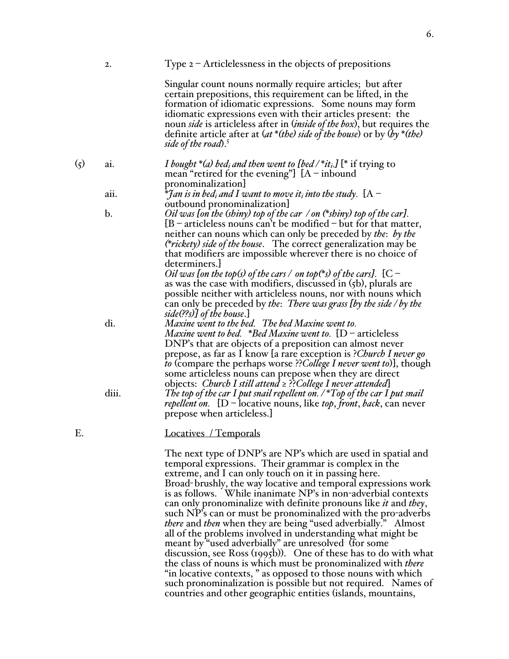|             | 2.    | Type $2$ – Articlelessness in the objects of prepositions                                                                                                                                                                                                                                                                                                                                                                                                                                                                                                                                                                                                  |
|-------------|-------|------------------------------------------------------------------------------------------------------------------------------------------------------------------------------------------------------------------------------------------------------------------------------------------------------------------------------------------------------------------------------------------------------------------------------------------------------------------------------------------------------------------------------------------------------------------------------------------------------------------------------------------------------------|
|             |       | Singular count nouns normally require articles; but after<br>certain prepositions, this requirement can be lifted, in the<br>formation of idiomatic expressions. Some nouns may form<br>idiomatic expressions even with their articles present: the<br>noun side is articleless after in (inside of the box), but requires the<br>definite article after at $(at^*(the)$ side of the house) or by $(b\gamma^*(the))$<br>side of the road). <sup>5</sup>                                                                                                                                                                                                    |
| $\left($ 5) | ai.   | <i>I</i> bought *(a) bed <sub>i</sub> and then went to [bed/*it <sub>i</sub> , <i>I</i> [* if trying to<br>mean "retired for the evening"] $[A - inbound]$<br>pronominalization                                                                                                                                                                                                                                                                                                                                                                                                                                                                            |
|             | aii.  | ${}^*$ Jan is in bed <sub>i</sub> and I want to move it <sub>i</sub> into the study. $\rm\, [A-$                                                                                                                                                                                                                                                                                                                                                                                                                                                                                                                                                           |
|             | b.    | outbound pronominalization<br><i>Oil was [on the (shiny) top of the car /on (*shiny) top of the car]</i> .<br>$[B - \text{articles}$ nouns can't be modified $-\text{ but for that matter}$ ,<br>neither can nouns which can only be preceded by the: by the<br>( <i>*rickety</i> ) side of the house. The correct generalization may be<br>that modifiers are impossible wherever there is no choice of<br>determiners.                                                                                                                                                                                                                                   |
|             |       | <i>Oil was [on the top(s) of the cars / on top(*s) of the cars].</i> [C –<br>as was the case with modifiers, discussed in $(5b)$ , plurals are<br>possible neither with articleless nouns, nor with nouns which<br>can only be preceded by the: There was grass [by the side / by the<br>side(??s)] of the house.]                                                                                                                                                                                                                                                                                                                                         |
|             | di.   | Maxine went to the bed. The bed Maxine went to.<br><i>Maxine went to bed.</i> *Bed Maxine went to. $[D - \text{articles}]$<br>DNP's that are objects of a preposition can almost never<br>prepose, as far as I know [a rare exception is ?Church I never go<br><i>to</i> (compare the perhaps worse ?? <i>College I never went to</i> ), though<br>some articleless nouns can prepose when they are direct                                                                                                                                                                                                                                                 |
|             | diii. | objects: Church I still attend ≥ ?? College I never attended}<br>The top of the car I put snail repellent on. $/$ *Top of the car I put snail<br><i>repellent on.</i> [D – locative nouns, like <i>top</i> , front, back, can never<br>prepose when articleless.                                                                                                                                                                                                                                                                                                                                                                                           |
| Ε.          |       | Locatives / Temporals                                                                                                                                                                                                                                                                                                                                                                                                                                                                                                                                                                                                                                      |
|             |       | The next type of DNP's are NP's which are used in spatial and<br>temporal expressions. Their grammar is complex in the<br>extreme, and I can only touch on it in passing here.<br>Broad-brushly, the way locative and temporal expressions work<br>is as follows. While inanimate NP's in non-adverbial contexts<br>can only pronominalize with definite pronouns like <i>it</i> and <i>they</i> ,<br>such NP's can or must be pronominalized with the pro-adverbs<br>there and then when they are being "used adverbially." Almost<br>all of the problems involved in understanding what might be<br>meant by "used adverbially" are unresolved (for some |

meant by "used adverbially" are unresolved (for some discussion, see Ross (1995b)). One of these has to do with what the class of nouns is which must be pronominalized with *there* "in locative contexts, " as opposed to those nouns with which such pronominalization is possible but not required. Names of countries and other geographic entities (islands, mountains,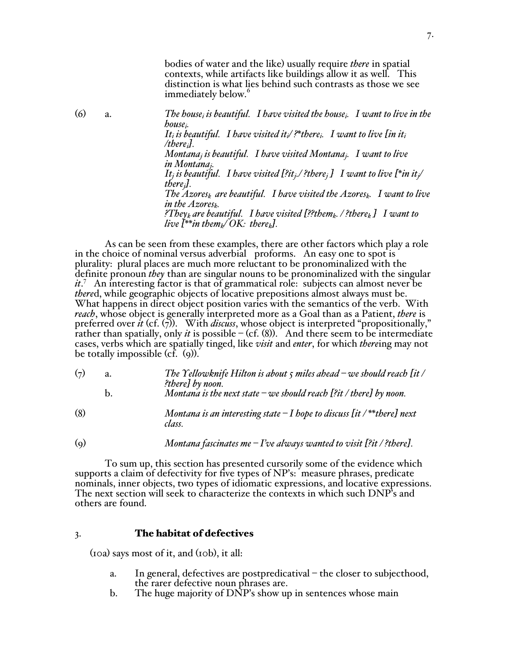bodies of water and the like) usually require *there* in spatial contexts, while artifacts like buildings allow it as well. This distinction is what lies behind such contrasts as those we see immediately below.<sup>6</sup>

(6) a. *The housei is beautiful. I have visited the housei. I want to live in the housei. It<sub>i</sub>* is beautiful. I have visited it,  $\ell^*$  there,. I want to live [in it<sub>i</sub> */therei]. Montanaj is beautiful. I have visited Montanaj. I want to live in Montanaj. It<sub>i</sub>* is beautiful. I have visited [?it<sub>i</sub>./ ?there<sub>i</sub> *]* I want to live [\*in it<sub>i</sub>/ *therej]. The Azoresk are beautiful. I have visited the Azoresk. I want to live in the Azoresk. ?Theyk are beautiful. I have visited [??themk. / ?therek ] I want to live*  $I^{**}$ *in them*<sub>k</sub> $/OK$ *: there*<sub>k</sub> $J$ *.* 

As can be seen from these examples, there are other factors which play a role in the choice of nominal versus adverbial proforms. An easy one to spot is plurality: plural places are much more reluctant to be pronominalized with the definite pronoun *they* than are singular nouns to be pronominalized with the singular *it*. 7 An interesting factor is that of grammatical role: subjects can almost never be *there*d, while geographic objects of locative prepositions almost always must be. What happens in direct object position varies with the semantics of the verb. With *reach*, whose object is generally interpreted more as a Goal than as a Patient, *there* is preferred over *it* (cf. (7)). With *discuss*, whose object is interpreted "propositionally," rather than spatially, only *it* is possible  $-(cf. (8))$ . And there seem to be intermediate cases, verbs which are spatially tinged, like *visit* and *enter*, for which *there*ing may not be totally impossible (cf. (9)).

| $\left(7\right)$ | The Yellowknife Hilton is about $\zeta$ miles ahead – we should reach [it / |
|------------------|-----------------------------------------------------------------------------|
|                  | ?there] by noon.                                                            |
|                  | Montana is the next state $-\infty$ e should reach [?it / there] by noon.   |

- (8) *Montana is an interesting state – I hope to discuss [it / \*\*there] next class.*
- (9) *Montana fascinates me – I've always wanted to visit [?it / ?there].*

To sum up, this section has presented cursorily some of the evidence which supports a claim of defectivity for five types of NP's: measure phrases, predicate nominals, inner objects, two types of idiomatic expressions, and locative expressions. The next section will seek to characterize the contexts in which such DNP's and others are found.

# 3. The habitat of defectives

(10a) says most of it, and (10b), it all:

- a. In general, defectives are postpredicatival the closer to subjecthood, the rarer defective noun phrases are.
- b. The huge majority of DNP's show up in sentences whose main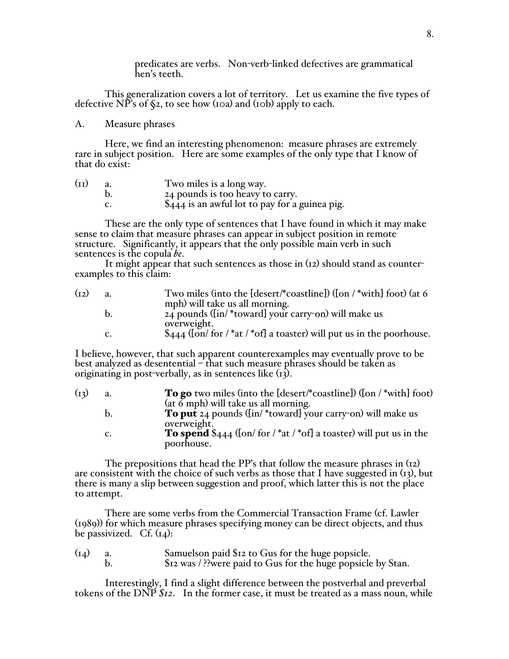predicates are verbs. Non-verb-linked defectives are grammatical hen's teeth.

This generalization covers a lot of territory. Let us examine the five types of defective NP's of  $\S$ 2, to see how (10a) and (10b) apply to each.

# A. Measure phrases

Here, we find an interesting phenomenon: measure phrases are extremely rare in subject position. Here are some examples of the only type that I know of that do exist:

| (II) | Two miles is a long way.                       |
|------|------------------------------------------------|
|      | 24 pounds is too heavy to carry.               |
|      | \$444 is an awful lot to pay for a guinea pig. |

These are the only type of sentences that I have found in which it may make sense to claim that measure phrases can appear in subject position in remote structure. Significantly, it appears that the only possible main verb in such sentences is the copula *be*.

It might appear that such sentences as those in (12) should stand as counterexamples to this claim:

| (12) | a. | Two miles (into the [desert/*coastline]) ([on $/$ *with] foot) (at 6           |
|------|----|--------------------------------------------------------------------------------|
|      |    | mph) will take us all morning.                                                 |
|      | b. | 24 pounds ([in/*toward] your carry-on) will make us                            |
|      |    | overweight.                                                                    |
|      | c. | $\frac{1}{2}444$ ([on/ for /*at /*of] a toaster) will put us in the poorhouse. |
|      |    |                                                                                |

I believe, however, that such apparent counterexamples may eventually prove to be best analyzed as desentential – that such measure phrases should be taken as originating in post-verbally, as in sentences like (13).

| (13) | a. | <b>To go</b> two miles (into the $[desert/*cosetime])$ ([on /*with] foot)              |
|------|----|----------------------------------------------------------------------------------------|
|      |    | (at $\delta$ mph) will take us all morning.                                            |
|      | b. | <b>To put</b> $24$ pounds ([in/*toward] your carry-on) will make us                    |
|      |    | overweight.                                                                            |
|      | c. | <b>To spend</b> $\$$ <sub>444</sub> ([on/ for /*at /*of] a toaster) will put us in the |
|      |    | poorhouse.                                                                             |
|      |    |                                                                                        |

The prepositions that head the PP's that follow the measure phrases in (12) are consistent with the choice of such verbs as those that I have suggested in  $(r<sub>3</sub>)$ , but there is many a slip between suggestion and proof, which latter this is not the place to attempt.

There are some verbs from the Commercial Transaction Frame (cf. Lawler (1989)) for which measure phrases specifying money can be direct objects, and thus be passivized. Cf.  $(r_4)$ :

| $(I_4)$ | Samuelson paid \$12 to Gus for the huge popsicle.             |
|---------|---------------------------------------------------------------|
|         | \$12 was / ?? were paid to Gus for the huge popsicle by Stan. |

Interestingly, I find a slight difference between the postverbal and preverbal tokens of the DNP *\$12*. In the former case, it must be treated as a mass noun, while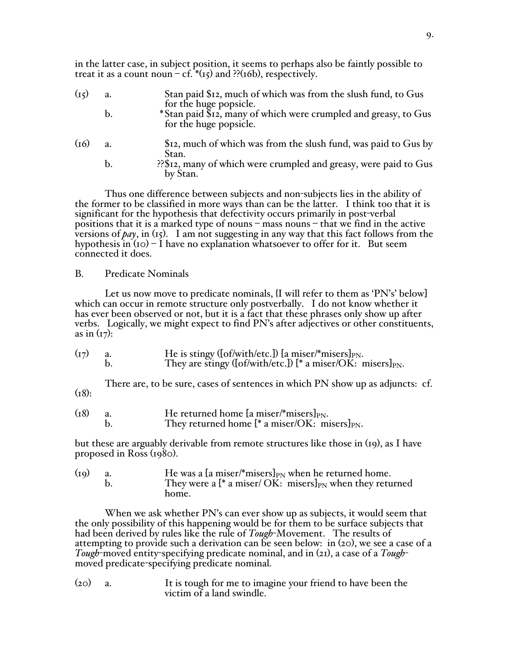in the latter case, in subject position, it seems to perhaps also be faintly possible to treat it as a count noun  $-cf.*$ (15) and ??(16b), respectively.

| (I <sub>5</sub> ) | a.            | Stan paid \$12, much of which was from the slush fund, to Gus<br>for the huge popsicle.   |
|-------------------|---------------|-------------------------------------------------------------------------------------------|
|                   | $\mathbf b$ . | *Stan paid \$12, many of which were crumpled and greasy, to Gus<br>for the huge popsicle. |
| (16)              | a.            | \$12, much of which was from the slush fund, was paid to Gus by<br>Stan.                  |
|                   | b.            | ?? \$12, many of which were crumpled and greasy, were paid to Gus<br>by Stan.             |

Thus one difference between subjects and non-subjects lies in the ability of the former to be classified in more ways than can be the latter. I think too that it is significant for the hypothesis that defectivity occurs primarily in post-verbal positions that it is a marked type of nouns – mass nouns – that we find in the active versions of  $pay$ , in (15). I am not suggesting in any way that this fact follows from the hypothesis in  $(10) - I$  have no explanation whatsoever to offer for it. But seem connected it does.

### B. Predicate Nominals

Let us now move to predicate nominals, {I will refer to them as 'PN's' below] which can occur in remote structure only postverbally. I do not know whether it has ever been observed or not, but it is a fact that these phrases only show up after verbs. Logically, we might expect to find PN's after adjectives or other constituents, as in  $(\frac{1}{7})$ :

| (I7) | He is stingy ([of/with/etc.]) [a miser/*misers] $_{\rm PN}$ .         |
|------|-----------------------------------------------------------------------|
|      | They are stingy ([of/with/etc.]) [* a miser/OK: misers] $_{\rm PN}$ . |

There are, to be sure, cases of sentences in which PN show up as adjuncts: cf.  $(18):$ 

| (18) | He returned home [a miser/*misers] $_{PN}$ .           |
|------|--------------------------------------------------------|
|      | They returned home $[$ * a miser/OK: misers $]_{PN}$ . |

but these are arguably derivable from remote structures like those in (19), as I have proposed in Ross (1980).

| (iq) | He was a [a miser/*misers] <sub>PN</sub> when he returned home.   |
|------|-------------------------------------------------------------------|
|      | They were a $[$ * a miser/ OK: misers $]_{PN}$ when they returned |
|      | home.                                                             |

When we ask whether PN's can ever show up as subjects, it would seem that the only possibility of this happening would be for them to be surface subjects that had been derived by rules like the rule of *Tough*-Movement. The results of attempting to provide such a derivation can be seen below: in (20), we see a case of a *Tough*-moved entity-specifying predicate nominal, and in (21), a case of a *Tough*moved predicate-specifying predicate nominal.

(20) a. It is tough for me to imagine your friend to have been the victim of a land swindle.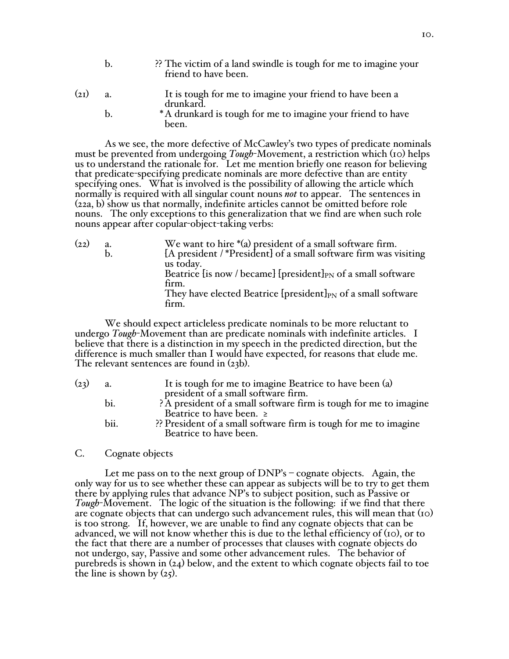|      | ?? The victim of a land swindle is tough for me to imagine your<br>friend to have been. |
|------|-----------------------------------------------------------------------------------------|
| (21) | It is tough for me to imagine your friend to have been a<br>drunkard.                   |
|      | * A drupled is tough for me to imagine your friend to have                              |

b. **Example 1** The drunkard is tough for me to imagine your friend to have been.

As we see, the more defective of McCawley's two types of predicate nominals must be prevented from undergoing *Tough*-Movement, a restriction which (10) helps us to understand the rationale for. Let me mention briefly one reason for believing that predicate-specifying predicate nominals are more defective than are entity specifying ones. What is involved is the possibility of allowing the article which normally is required with all singular count nouns *not* to appear. The sentences in (22a, b) show us that normally, indefinite articles cannot be omitted before role nouns. The only exceptions to this generalization that we find are when such role nouns appear after copular-object-taking verbs:

| (22) | a.            | We want to hire *(a) president of a small software firm.                    |
|------|---------------|-----------------------------------------------------------------------------|
|      | $\mathbf b$ . | [A president /*President] of a small software firm was visiting             |
|      |               | us today.                                                                   |
|      |               | Beatrice [is now / became] [president] $_{PN}$ of a small software          |
|      |               | firm.                                                                       |
|      |               | They have elected Beatrice [ $president]_{PN}$ of a small software<br>firm. |
|      |               |                                                                             |

We should expect articleless predicate nominals to be more reluctant to undergo *Tough*-Movement than are predicate nominals with indefinite articles. I believe that there is a distinction in my speech in the predicted direction, but the difference is much smaller than I would have expected, for reasons that elude me. The relevant sentences are found in (23b).

| (23) | a.   | It is tough for me to imagine Beatrice to have been (a)                                    |
|------|------|--------------------------------------------------------------------------------------------|
|      |      | president of a small software firm.                                                        |
|      | bi.  | ?A president of a small software firm is tough for me to imagine                           |
|      |      | Beatrice to have been. $\geq$                                                              |
|      | bii. | ?? President of a small software firm is tough for me to imagine<br>Beatrice to have been. |
|      |      |                                                                                            |

### C. Cognate objects

Let me pass on to the next group of DNP's – cognate objects. Again, the only way for us to see whether these can appear as subjects will be to try to get them there by applying rules that advance NP's to subject position, such as Passive or *Tough*-Movement. The logic of the situation is the following: if we find that there are cognate objects that can undergo such advancement rules, this will mean that (10) is too strong. If, however, we are unable to find any cognate objects that can be advanced, we will not know whether this is due to the lethal efficiency of (10), or to the fact that there are a number of processes that clauses with cognate objects do not undergo, say, Passive and some other advancement rules. The behavior of purebreds is shown in (24) below, and the extent to which cognate objects fail to toe the line is shown by  $(25)$ .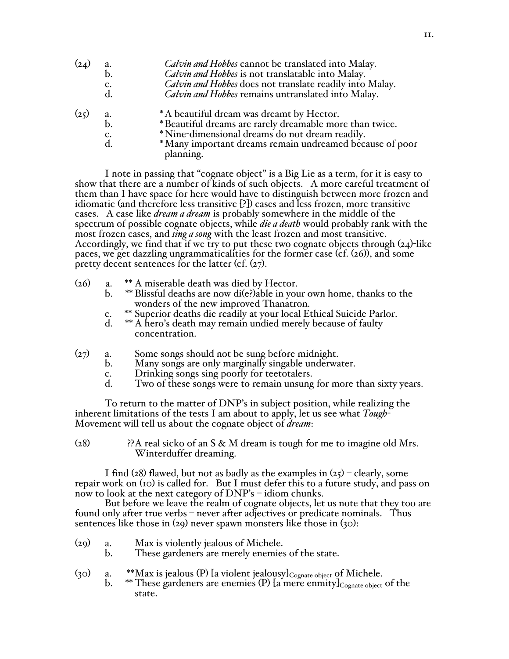| (24) | a.             | Calvin and Hobbes cannot be translated into Malay.                   |
|------|----------------|----------------------------------------------------------------------|
|      | $b$ .          | Calvin and Hobbes is not translatable into Malay.                    |
|      | c.             | Calvin and Hobbes does not translate readily into Malay.             |
|      | d.             | Calvin and Hobbes remains untranslated into Malay.                   |
| (25) | a.             | *A beautiful dream was dreamt by Hector.                             |
|      | $\mathbf{b}$ . | *Beautiful dreams are rarely dreamable more than twice.              |
|      | c.             | *Nine-dimensional dreams do not dream readily.                       |
|      | $\rm d$ .      | *Many important dreams remain undreamed because of poor<br>planning. |

I note in passing that "cognate object" is a Big Lie as a term, for it is easy to show that there are a number of kinds of such objects. A more careful treatment of them than I have space for here would have to distinguish between more frozen and idiomatic (and therefore less transitive [?]) cases and less frozen, more transitive cases. A case like *dream a dream* is probably somewhere in the middle of the spectrum of possible cognate objects, while *die a death* would probably rank with the most frozen cases, and *sing a song* with the least frozen and most transitive. Accordingly, we find that if we try to put these two cognate objects through  $(24)$ -like paces, we get dazzling ungrammaticalities for the former case (cf. (26)), and some pretty decent sentences for the latter (cf.  $(27)$ .

- (26) a.  $** A$  miserable death was died by Hector.<br>b.  $** B$ lissful deaths are now di(e?)able in you
	- \*\* Blissful deaths are now di(e?)able in your own home, thanks to the wonders of the new improved Thanatron.
	- c. \*\* Superior deaths die readily at your local Ethical Suicide Parlor.<br>d. \*\* A hero's death may remain undied merely because of faulty
	- \*\* A hero's death may remain undied merely because of faulty concentration.
- (27) a. Some songs should not be sung before midnight.
	- b. Many songs are only marginally singable underwater.
	- c. Drinking songs sing poorly for teetotalers.<br>d. Two of these songs were to remain unsung
	- Two of these songs were to remain unsung for more than sixty years.

To return to the matter of DNP's in subject position, while realizing the inherent limitations of the tests I am about to apply, let us see what *Tough*-Movement will tell us about the cognate object of *dream*:

( $28$ ) ?? A real sicko of an S & M dream is tough for me to imagine old Mrs. Winterduffer dreaming.

I find (28) flawed, but not as badly as the examples in  $(25)$  – clearly, some repair work on (10) is called for. But I must defer this to a future study, and pass on now to look at the next category of DNP's – idiom chunks.

But before we leave the realm of cognate objects, let us note that they too are found only after true verbs – never after adjectives or predicate nominals. Thus sentences like those in (29) never spawn monsters like those in (30):

- 
- (29) a. Max is violently jealous of Michele. b. These gardeners are merely enemies of the state.
- (30) a. \*\*Max is jealous (P) [a violent jealousy] $_{\text{Cognate object}}$  of Michele.
	- b. \*\* These gardeners are enemies (P) [a mere enmity] $_{\text{Cognate object}}$  of the state.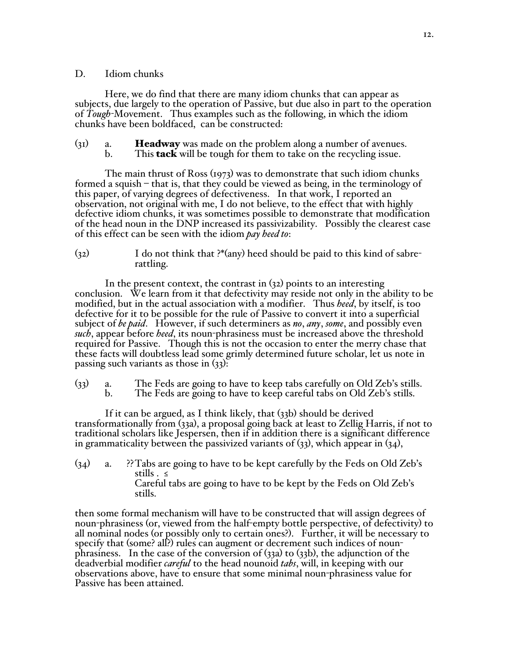# D. Idiom chunks

Here, we do find that there are many idiom chunks that can appear as subjects, due largely to the operation of Passive, but due also in part to the operation of *Tough-*Movement. Thus examples such as the following, in which the idiom chunks have been boldfaced, can be constructed:

- $(31)$  a. **Headway** was made on the problem along a number of avenues.
	- b. This **tack** will be tough for them to take on the recycling issue.

The main thrust of Ross (1973) was to demonstrate that such idiom chunks formed a squish – that is, that they could be viewed as being, in the terminology of this paper, of varying degrees of defectiveness. In that work, I reported an observation, not original with me, I do not believe, to the effect that with highly defective idiom chunks, it was sometimes possible to demonstrate that modification of the head noun in the DNP increased its passivizability. Possibly the clearest case of this effect can be seen with the idiom *pay heed to*:

(32) I do not think that ?\*(any) heed should be paid to this kind of sabrerattling.

In the present context, the contrast in (32) points to an interesting conclusion. We learn from it that defectivity may reside not only in the ability to be modified, but in the actual association with a modifier. Thus *heed*, by itself, is too defective for it to be possible for the rule of Passive to convert it into a superficial subject of *be paid*. However, if such determiners as *no*, *any*, *some*, and possibly even *such*, appear before *heed*, its noun-phrasiness must be increased above the threshold required for Passive. Though this is not the occasion to enter the merry chase that these facts will doubtless lead some grimly determined future scholar, let us note in passing such variants as those in (33):

(33) a. The Feds are going to have to keep tabs carefully on Old Zeb's stills. The Feds are going to have to keep careful tabs on Old Zeb's stills.

If it can be argued, as I think likely, that (33b) should be derived transformationally from (33a), a proposal going back at least to Zellig Harris, if not to traditional scholars like Jespersen, then if in addition there is a significant difference in grammaticality between the passivized variants of  $(33)$ , which appear in  $(34)$ ,

(34) a. ??Tabs are going to have to be kept carefully by the Feds on Old Zeb's stills . ≤ Careful tabs are going to have to be kept by the Feds on Old Zeb's stills.

then some formal mechanism will have to be constructed that will assign degrees of noun-phrasiness (or, viewed from the half-empty bottle perspective, of defectivity) to all nominal nodes (or possibly only to certain ones?). Further, it will be necessary to specify that (some? all?) rules can augment or decrement such indices of nounphrasiness. In the case of the conversion of  $(33a)$  to  $(33b)$ , the adjunction of the deadverbial modifier *careful* to the head nounoid *tabs*, will, in keeping with our observations above, have to ensure that some minimal noun-phrasiness value for Passive has been attained.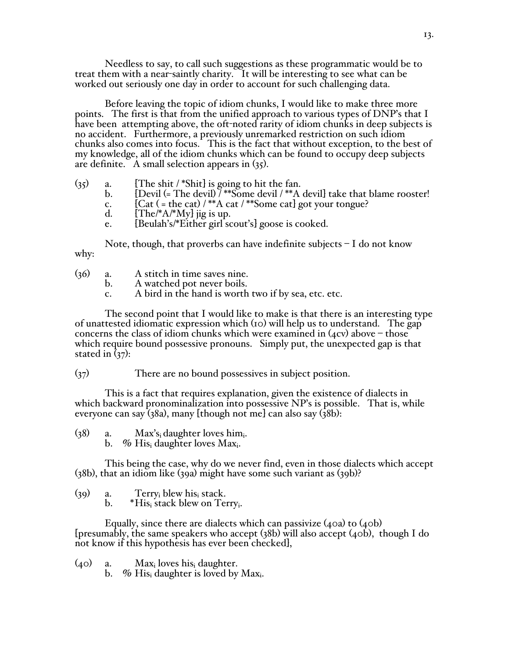Needless to say, to call such suggestions as these programmatic would be to treat them with a near-saintly charity. It will be interesting to see what can be worked out seriously one day in order to account for such challenging data.

Before leaving the topic of idiom chunks, I would like to make three more points. The first is that from the unified approach to various types of DNP's that I have been attempting above, the oft-noted rarity of idiom chunks in deep subjects is no accident. Furthermore, a previously unremarked restriction on such idiom chunks also comes into focus. This is the fact that without exception, to the best of my knowledge, all of the idiom chunks which can be found to occupy deep subjects are definite. A small selection appears in (35).

- (35) a. [The shit /\*Shit] is going to hit the fan.<br>b. [Devil (= The devil) /\*\*Some devil /\*\*A
	- $[Devil (= The devil) 7**Some devil 7**A devil] take that blame rooster!$
	- c.  $[Cat (= the cat) / **A cat / **Some cat] got your tongue?$ <br>d.  $[The/*A/*My] iig is up.$
	- $[The <sup>*</sup>A <sup>*</sup>My]$  jig is up.
	- e. [Beulah's/\*Either girl scout's] goose is cooked.

Note, though, that proverbs can have indefinite subjects – I do not know why:

- (36) a. A stitch in time saves nine.<br>b. A watched pot never boils.
	- A watched pot never boils.
		- c. A bird in the hand is worth two if by sea, etc. etc.

The second point that I would like to make is that there is an interesting type of unattested idiomatic expression which (10) will help us to understand. The gap concerns the class of idiom chunks which were examined in  $(4cv)$  above – those which require bound possessive pronouns. Simply put, the unexpected gap is that stated in  $(37)$ :

(37) There are no bound possessives in subject position.

This is a fact that requires explanation, given the existence of dialects in which backward pronominalization into possessive NP's is possible. That is, while everyone can say (38a), many [though not me] can also say (38b):

- $(38)$  a. Max's<sub>i</sub> daughter loves him<sub>i</sub>.
	- b. % His daughter loves  $Max_i$ .

This being the case, why do we never find, even in those dialects which accept (38b), that an idiom like (39a) might have some such variant as (39b)?

(39) a. Terry<sub>i</sub> blew his<sub>i</sub> stack.<br>b. \*His<sub>i</sub> stack blew on Te.

 $*H$ is<sub>i</sub> stack blew on Terry<sub>i</sub>.

Equally, since there are dialects which can passivize (40a) to (40b) [presumably, the same speakers who accept (38b) will also accept (40b), though I do not know if this hypothesis has ever been checked],

 $(40)$  a. Max<sub>i</sub> loves his<sub>i</sub> daughter.

b. % His daughter is loved by Max.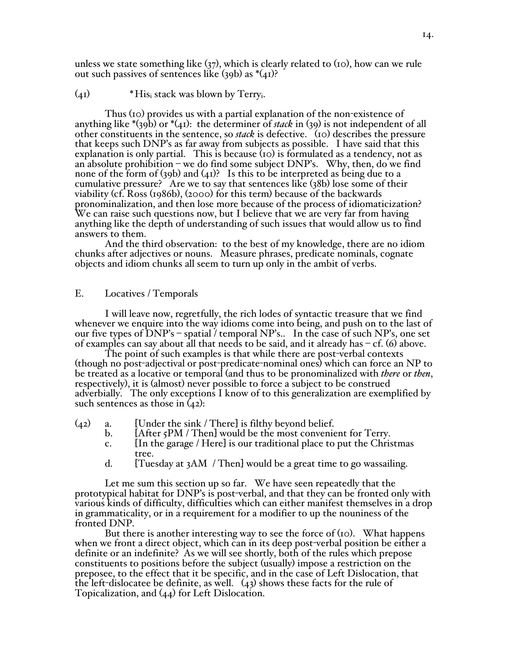unless we state something like  $(37)$ , which is clearly related to  $(10)$ , how can we rule out such passives of sentences like  $(39b)$  as  $*(41)$ ?

#### $(4I)$  \* His<sub>i</sub> stack was blown by Terry<sub>i</sub>.

Thus (10) provides us with a partial explanation of the non-existence of anything like \*(39b) or \*(41): the determiner of *stack* in (39) is not independent of all other constituents in the sentence, so *stack* is defective. (10) describes the pressure that keeps such DNP's as far away from subjects as possible. I have said that this explanation is only partial. This is because (10) is formulated as a tendency, not as an absolute prohibition – we do find some subject  $DNP's$ . Why, then, do we find none of the form of (39b) and (41)? Is this to be interpreted as being due to a cumulative pressure? Are we to say that sentences like (38b) lose some of their viability (cf. Ross (1986b), (2000) for this term) because of the backwards pronominalization, and then lose more because of the process of idiomaticization? We can raise such questions now, but I believe that we are very far from having anything like the depth of understanding of such issues that would allow us to find answers to them.

And the third observation: to the best of my knowledge, there are no idiom chunks after adjectives or nouns. Measure phrases, predicate nominals, cognate objects and idiom chunks all seem to turn up only in the ambit of verbs.

### E. Locatives / Temporals

I will leave now, regretfully, the rich lodes of syntactic treasure that we find whenever we enquire into the way idioms come into being, and push on to the last of our five types of DNP's – spatial / temporal NP's.. In the case of such NP's, one set of examples can say about all that needs to be said, and it already has  $-$  cf. (6) above.

The point of such examples is that while there are post-verbal contexts (though no post-adjectival or post-predicate-nominal ones) which can force an NP to be treated as a locative or temporal (and thus to be pronominalized with *there* or *then*, respectively), it is (almost) never possible to force a subject to be construed adverbially. The only exceptions I know of to this generalization are exemplified by such sentences as those in (42):

- (42) a.  $\qquad$  [Under the sink / There] is filthy beyond belief.<br>b.  $\qquad$  [After 5PM / Then] would be the most convenie
	- [After 5PM / Then] would be the most convenient for Terry.
	- c. [In the garage / Here] is our traditional place to put the Christmas tree.
	- d. [Tuesday at 3AM / Then] would be a great time to go wassailing.

Let me sum this section up so far. We have seen repeatedly that the prototypical habitat for DNP's is post-verbal, and that they can be fronted only with various kinds of difficulty, difficulties which can either manifest themselves in a drop in grammaticality, or in a requirement for a modifier to up the nouniness of the fronted DNP.

But there is another interesting way to see the force of (10). What happens when we front a direct object, which can in its deep post-verbal position be either a definite or an indefinite? As we will see shortly, both of the rules which prepose constituents to positions before the subject (usually) impose a restriction on the preposee, to the effect that it be specific, and in the case of Left Dislocation, that the left-dislocatee be definite, as well. (43) shows these facts for the rule of Topicalization, and (44) for Left Dislocation.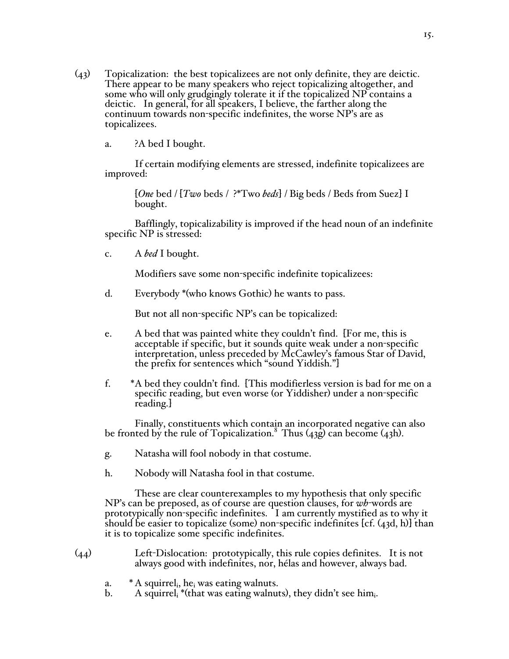(43) Topicalization: the best topicalizees are not only definite, they are deictic. There appear to be many speakers who reject topicalizing altogether, and some who will only grudgingly tolerate it if the topicalized NP contains a deictic. In general, for all speakers, I believe, the farther along the continuum towards non-specific indefinites, the worse NP's are as topicalizees.

a. ?A bed I bought.

If certain modifying elements are stressed, indefinite topicalizees are improved:

[*One* bed / [*Two* beds / ?\*Two *beds*] / Big beds / Beds from Suez] I bought.

Bafflingly, topicalizability is improved if the head noun of an indefinite specific NP is stressed:

c. A *bed* I bought.

Modifiers save some non-specific indefinite topicalizees:

d. Everybody \*(who knows Gothic) he wants to pass.

But not all non-specific NP's can be topicalized:

- e. A bed that was painted white they couldn't find. [For me, this is acceptable if specific, but it sounds quite weak under a non-specific interpretation, unless preceded by McCawley's famous Star of David, the prefix for sentences which "sound Yiddish."]
- f. \*A bed they couldn't find. [This modifierless version is bad for me on a specific reading, but even worse (or Yiddisher) under a non-specific reading.]

Finally, constituents which contain an incorporated negative can also be fronted by the rule of Topicalization.<sup>8</sup> Thus  $(43g)$  can become  $(43h)$ .

- g. Natasha will fool nobody in that costume.
- h. Nobody will Natasha fool in that costume.

These are clear counterexamples to my hypothesis that only specific NP's can be preposed, as of course are question clauses, for *wh*-words are prototypically non-specific indefinites. I am currently mystified as to why it should be easier to topicalize (some) non-specific indefinites [cf. (43d, h)] than it is to topicalize some specific indefinites.

- (44) Left-Dislocation: prototypically, this rule copies definites. It is not always good with indefinites, nor, hélas and however, always bad.
	- a.  $* A$  squirrel<sub>i</sub>, he<sub>i</sub> was eating walnuts.
	- b. A squirrel<sub>i</sub> \*(that was eating walnuts), they didn't see him.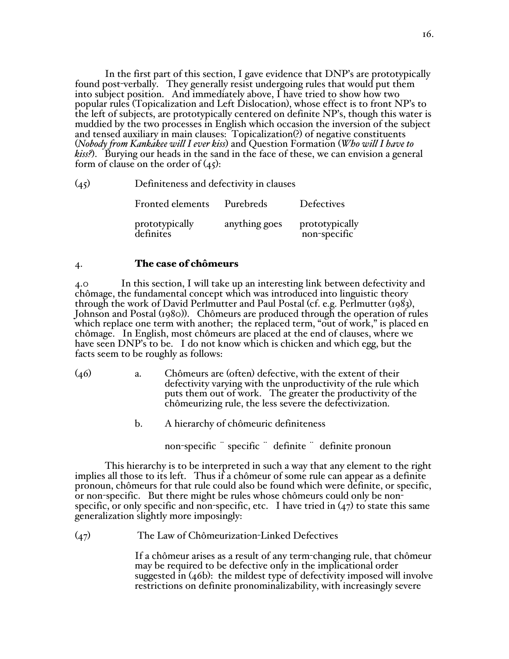In the first part of this section, I gave evidence that DNP's are prototypically found post-verbally. They generally resist undergoing rules that would put them into subject position. And immediately above, I have tried to show how two popular rules (Topicalization and Left Dislocation), whose effect is to front NP's to the left of subjects, are prototypically centered on definite NP's, though this water is muddied by the two processes in English which occasion the inversion of the subject and tensed auxiliary in main clauses: Topicalization(?) of negative constituents (*Nobody from Kankakee will I ever kiss*) and Question Formation (*Who will I have to kiss?*). Burying our heads in the sand in the face of these, we can envision a general form of clause on the order of (45):

(45) Definiteness and defectivity in clauses

| <b>Fronted elements</b>     | Purebreds     | Defectives                     |
|-----------------------------|---------------|--------------------------------|
| prototypically<br>definites | anything goes | prototypically<br>non-specific |

# 4. The case of chômeurs

4.0 In this section, I will take up an interesting link between defectivity and chômage, the fundamental concept which was introduced into linguistic theory through the work of David Perlmutter and Paul Postal (cf. e.g. Perlmutter (1983), Johnson and Postal (1980)). Chômeurs are produced through the operation of rules which replace one term with another; the replaced term, "out of work," is placed en chômage. In English, most chômeurs are placed at the end of clauses, where we have seen DNP's to be. I do not know which is chicken and which egg, but the facts seem to be roughly as follows:

- (46) a. Chômeurs are (often) defective, with the extent of their defectivity varying with the unproductivity of the rule which puts them out of work. The greater the productivity of the chômeurizing rule, the less severe the defectivization.
	- b. A hierarchy of chômeuric definiteness
		- non-specific <sup>"</sup> specific <sup>"</sup> definite <sup>"</sup> definite pronoun

This hierarchy is to be interpreted in such a way that any element to the right implies all those to its left. Thus if a chômeur of some rule can appear as a definite pronoun, chômeurs for that rule could also be found which were definite, or specific, or non-specific. But there might be rules whose chômeurs could only be nonspecific, or only specific and non-specific, etc. I have tried in  $(47)$  to state this same generalization slightly more imposingly:

(47) The Law of Chômeurization-Linked Defectives

If a chômeur arises as a result of any term-changing rule, that chômeur may be required to be defective only in the implicational order suggested in (46b): the mildest type of defectivity imposed will involve restrictions on definite pronominalizability, with increasingly severe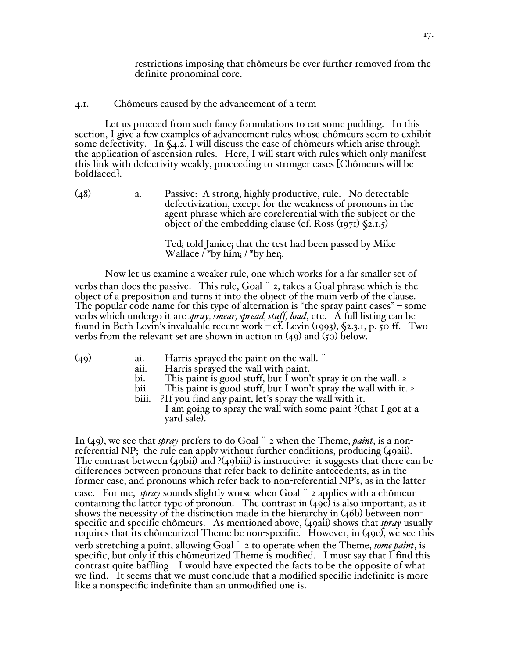restrictions imposing that chômeurs be ever further removed from the definite pronominal core.

### 4.1. Chômeurs caused by the advancement of a term

Let us proceed from such fancy formulations to eat some pudding. In this section, I give a few examples of advancement rules whose chômeurs seem to exhibit some defectivity. In §4.2, I will discuss the case of chômeurs which arise through the application of ascension rules. Here, I will start with rules which only manifest this link with defectivity weakly, proceeding to stronger cases [Chômeurs will be boldfaced].

(48) a. Passive: A strong, highly productive, rule. No detectable defectivization, except for the weakness of pronouns in the agent phrase which are coreferential with the subject or the object of the embedding clause (cf. Ross  $(1971)$   $(2.1.5)$ )

> $Ted_i$  told Janice<sub>i</sub> that the test had been passed by Mike Wallace  $/$  \*by him<sub>i</sub>  $/$  \*by her<sub>i</sub>.

Now let us examine a weaker rule, one which works for a far smaller set of verbs than does the passive. This rule, Goal ¨ 2, takes a Goal phrase which is the object of a preposition and turns it into the object of the main verb of the clause. The popular code name for this type of alternation is "the spray paint cases" – some verbs which undergo it are *spray, smear, spread, stuff, load*, etc. A full listing can be found in Beth Levin's invaluable recent work – cf. Levin  $(i993)$ ,  $(2.3.1, p. 50$  ff. Two verbs from the relevant set are shown in action in  $(49)$  and  $(50)$  below.

- $(49)$  ai. Harris sprayed the paint on the wall.  $\ddot{\,}$ 
	- aii. Harris sprayed the wall with paint.
	- bi. This paint is good stuff, but I won't spray it on the wall. ≥ bii. This paint is good stuff, but I won't spray the wall with it.
	- This paint is good stuff, but I won't spray the wall with it. ≥
	- biii. ?If you find any paint, let's spray the wall with it.
		- I am going to spray the wall with some paint ?(that I got at a yard sale).

In (49), we see that *spray* prefers to do Goal ¨ 2 when the Theme, *paint*, is a nonreferential NP; the rule can apply without further conditions, producing (49aii). The contrast between (49bii) and ?(49biii) is instructive: it suggests that there can be differences between pronouns that refer back to definite antecedents, as in the former case, and pronouns which refer back to non-referential NP's, as in the latter case. For me, *spray* sounds slightly worse when Goal ¨ 2 applies with a chômeur containing the latter type of pronoun. The contrast in  $(49c)$  is also important, as it shows the necessity of the distinction made in the hierarchy in  $(46b)$  between nonspecific and specific chômeurs. As mentioned above, (49aii) shows that *spray* usually requires that its chômeurized Theme be non-specific. However, in (49c), we see this verb stretching a point, allowing Goal ¨ 2 to operate when the Theme, *some paint*, is specific, but only if this chômeurized Theme is modified. I must say that I find this contrast quite baffling – I would have expected the facts to be the opposite of what we find. It seems that we must conclude that a modified specific indefinite is more like a nonspecific indefinite than an unmodified one is.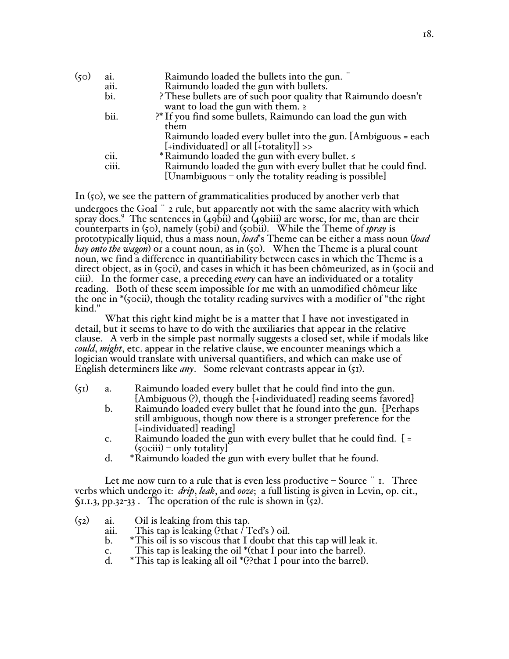| (50) | ai.   | Raimundo loaded the bullets into the gun.                      |
|------|-------|----------------------------------------------------------------|
|      | aii.  | Raimundo loaded the gun with bullets.                          |
|      | bi.   | ? These bullets are of such poor quality that Raimundo doesn't |
|      |       | want to load the gun with them. $\ge$                          |
|      | bii.  | ?* If you find some bullets, Raimundo can load the gun with    |
|      |       | them                                                           |
|      |       | Raimundo loaded every bullet into the gun. [Ambiguous = each   |
|      |       | $[+individuated]$ or all $[+totality]]$ >>                     |
|      | cii.  | * Raimundo loaded the gun with every bullet. <                 |
|      | ciii. | Raimundo loaded the gun with every bullet that he could find.  |
|      |       | [Unambiguous – only the totality reading is possible]          |
|      |       |                                                                |

In (50), we see the pattern of grammaticalities produced by another verb that undergoes the Goal  $\degree$  2 rule, but apparently not with the same alacrity with which spray does.9 The sentences in (49bii) and (49biii) are worse, for me, than are their counterparts in (50), namely (50bi) and (50bii). While the Theme of *spray* is prototypically liquid, thus a mass noun, *load*'s Theme can be either a mass noun (*load hay onto the wagon*) or a count noun, as in (50). When the Theme is a plural count noun, we find a difference in quantifiability between cases in which the Theme is a direct object, as in (50ci), and cases in which it has been chômeurized, as in (50cii and ciii). In the former case, a preceding *every* can have an individuated or a totality reading. Both of these seem impossible for me with an unmodified chômeur like the one in \*(50cii), though the totality reading survives with a modifier of "the right kind."

What this right kind might be is a matter that I have not investigated in detail, but it seems to have to do with the auxiliaries that appear in the relative clause. A verb in the simple past normally suggests a closed set, while if modals like *could*, *might*, etc. appear in the relative clause, we encounter meanings which a logician would translate with universal quantifiers, and which can make use of English determiners like *any*. Some relevant contrasts appear in (51).

- $(51)$  a. Raimundo loaded every bullet that he could find into the gun. [Ambiguous (?), though the [+individuated] reading seems favored]
	- b. Raimundo loaded every bullet that he found into the gun. [Perhaps still ambiguous, though now there is a stronger preference for the [+individuated] reading]
	- c. Raimundo loaded the gun with every bullet that he could find. [ =  $(50\text{ciii})$  – only totality
	- d. \*Raimundo loaded the gun with every bullet that he found.

Let me now turn to a rule that is even less productive  $\sim$  Source  $\cdot$  r. Three verbs which undergo it: *drip*, *leak*, and *ooze*; a full listing is given in Levin, op. cit.,  $\Im$ 1.1.3, pp.32-33. The operation of the rule is shown in  $(52)$ .

- (52) ai. Oil is leaking from this tap.
	- This tap is leaking (?that  $\overline{I}$  Ted's ) oil.
	- b. \*This oil is so viscous that I doubt that this tap will leak it.
	-
	- c. This tap is leaking the oil \*(that I pour into the barrel). d. \*This tap is leaking all oil \*(??that I pour into the barrel).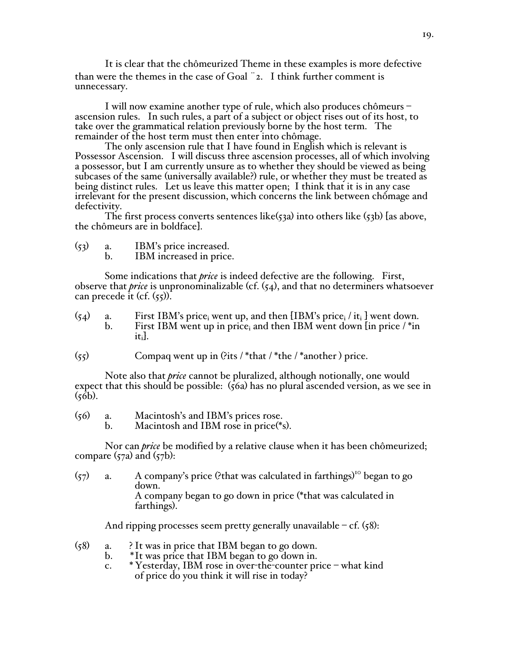It is clear that the chômeurized Theme in these examples is more defective than were the themes in the case of Goal ¨2. I think further comment is unnecessary.

I will now examine another type of rule, which also produces chômeurs – ascension rules. In such rules, a part of a subject or object rises out of its host, to take over the grammatical relation previously borne by the hos

The only ascension rule that I have found in English which is relevant is<br>Possessor Ascension. I will discuss three ascension processes, all of which involving a possessor, but I am currently unsure as to whether they should be viewed as being subcases of the same (universally available?) rule, or whether they must be treated as being distinct rules. Let us leave this matter open; I think that it is in any case<br>irrelevant for the present discussion, which concerns the link between chômage and<br>defectivity.<br>The first process converts sentences like

the chômeurs are in boldface].

| (53) | IBM's price increased.  |
|------|-------------------------|
|      | IBM increased in price. |

Some indications that *price* is indeed defective are the following. First, observe that *price* is unpronominalizable (cf. (54), and that no determiners whatsoever can precede it (cf.  $(55)$ ).

(54) a. First IBM's price<sub>i</sub> went up, and then [IBM's price<sub>i</sub> / it<sub>i</sub>] went down.<br>b. First IBM went up in price, and then IBM went down [in price / \*in First IBM went up in price<sub>i</sub> and then IBM went down [in price / $*$ in iti].

 $(55)$  Compaq went up in (?its / \*that / \*the / \*another) price.

Note also that *price* cannot be pluralized, although notionally, one would expect that this should be possible:  $(56a)$  has no plural ascended version, as we see in  $(56b)$ .

- $(56)$  a. Macintosh's and IBM's prices rose.<br>b. Macintosh and IBM rose in price(\*s)
	- Macintosh and IBM rose in price $(*_s)$ .

Nor can *price* be modified by a relative clause when it has been chômeurized; compare  $(57a)$  and  $(57b)$ :

 $(57)$  a. A company's price (?that was calculated in farthings)<sup>10</sup> began to go down. A company began to go down in price (\*that was calculated in farthings).

And ripping processes seem pretty generally unavailable – cf.  $(58)$ :

- (58) a. ? It was in price that IBM began to go down.
	- b. \*It was price that IBM began to go down in.
		- c. \*Yesterday, IBM rose in over-the-counter price what kind of price do you think it will rise in today?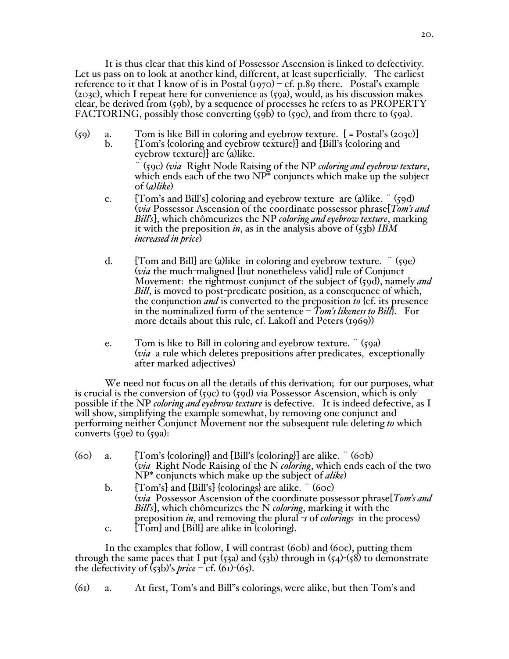It is thus clear that this kind of Possessor Ascension is linked to defectivity. Let us pass on to look at another kind, different, at least superficially. The earliest reference to it that I know of is in Postal  $(1970)$  – cf. p.89 there. Postal's example (203c), which I repeat here for convenience as (59a), would, as his discussion makes clear, be derived from (59b), by a sequence of processes he refers to as PROPERTY FACTORING, possibly those converting (59b) to (59c), and from there to (59a).

 $(59)$  a. Tom is like Bill in coloring and eyebrow texture.  $[$  = Postal's (203c)]<br>b.  $[Tom's$  {coloring and eyebrow texture}} and [Bill's {coloring and b. [Tom's {coloring and eyebrow texture}] and [Bill's {coloring and

eyebrow texture}] are (a)like.

¨ (59c) *(via* Right Node Raising of the NP *coloring and eyebrow texture*, which ends each of the two NP\* conjuncts which make up the subject of (*a)like*)

- c. [Tom's and Bill's] coloring and eyebrow texture are (a)like. ¨ (59d) (*via* Possessor Ascension of the coordinate possessor phrase[*Tom's and Bill's*], which chômeurizes the NP *coloring and eyebrow texture*, marking it with the preposition *in*, as in the analysis above of (53b) *IBM increased in price*)
- d. [Tom and Bill] are (a)like in coloring and eyebrow texture. ¨ (59e) (*via* the much-maligned [but nonetheless valid] rule of Conjunct Movement: the rightmost conjunct of the subject of (59d), namely *and Bill*, is moved to post-predicate position, as a consequence of which, the conjunction *and* is converted to the preposition *to* {cf. its presence in the nominalized form of the sentence – *Tom's likeness to Bill*}. For more details about this rule, cf. Lakoff and Peters (1969))
- e. Tom is like to Bill in coloring and eyebrow texture. ¨ (59a) (*via* a rule which deletes prepositions after predicates, exceptionally after marked adjectives)

We need not focus on all the details of this derivation; for our purposes, what is crucial is the conversion of (59c) to (59d) via Possessor Ascension, which is only possible if the NP *coloring and eyebrow texture* is defective. It is indeed defective, as I will show, simplifying the example somewhat, by removing one conjunct and performing neither Conjunct Movement nor the subsequent rule deleting *to* which converts  $(59e)$  to  $(59a)$ :

| (60) | a. | [Tom's {coloring}] and [Bill's {coloring}] are alike. " (60b)         |
|------|----|-----------------------------------------------------------------------|
|      |    | (via Right Node Raising of the N coloring, which ends each of the two |
|      |    | $NP^*$ conjuncts which make up the subject of <i>alike</i> )          |

- b.  $[Tom's]$  and  $[Bill's]$  {colorings} are alike.  $\ddot{\phantom{a}}$  (60c) (*via* Possessor Ascension of the coordinate possessor phrase[*Tom's and Bill's*], which chômeurizes the N *coloring*, marking it with the preposition *in*, and removing the plural *-s* of *colorings* in the process)
- c. [Tom] and [Bill] are alike in {coloring}.

In the examples that follow, I will contrast (60b) and (60c), putting them through the same paces that I put (53a) and (53b) through in (54)-(58) to demonstrate the defectivity of  $(53b)$ 's *price* – cf.  $(61)-(65)$ .

(61) a. At first, Tom's and Bill"s coloringsi were alike, but then Tom's and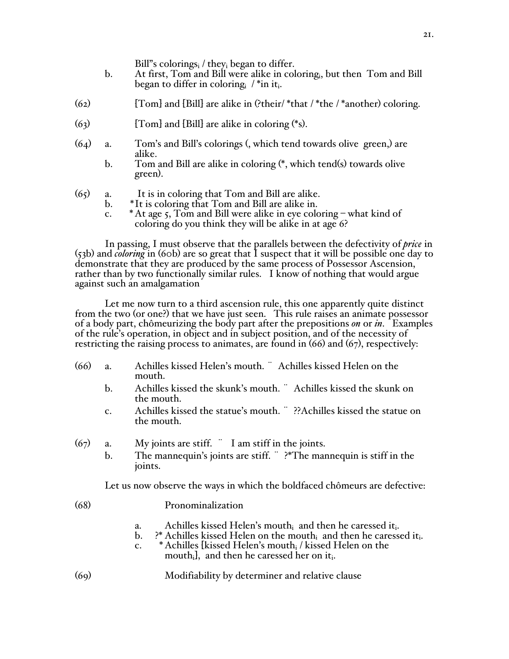Bill"s colorings<sub>i</sub> / they<sub>i</sub> began to differ.

- b. At first, Tom and Bill were alike in coloringi, but then Tom and Bill began to differ in coloring  $/$  \*in it.
- $(62)$  [Tom] and [Bill] are alike in (?their/ \*that / \*the / \*another) coloring.
- $(63)$  [Tom] and [Bill] are alike in coloring  $(*s)$ .
- (64) a. Tom's and Bill's colorings (, which tend towards olive green,) are alike.
	- b. Tom and Bill are alike in coloring (\*, which tend(s) towards olive green).
- (65) a. It is in coloring that Tom and Bill are alike.
	- b. \*It is coloring that Tom and Bill are alike in.
	- c.  $*$  At age 5, Tom and Bill were alike in eye coloring what kind of coloring do you think they will be alike in at age 6?

In passing, I must observe that the parallels between the defectivity of *price* in (53b) and *coloring* in (60b) are so great that I suspect that it will be possible one day to demonstrate that they are produced by the same process of Possessor Ascension, rather than by two functionally similar rules. I know of nothing that would argue against such an amalgamation

Let me now turn to a third ascension rule, this one apparently quite distinct from the two (or one?) that we have just seen. This rule raises an animate possessor of a body part, chômeurizing the body part after the prepositions *on* or *in*. Examples of the rule's operation, in object and in subject position, and of the necessity of restricting the raising process to animates, are found in (66) and (67), respectively:

- (66) a. Achilles kissed Helen's mouth. ¨ Achilles kissed Helen on the mouth.
	- b. Achilles kissed the skunk's mouth. ¨ Achilles kissed the skunk on the mouth.
	- c. Achilles kissed the statue's mouth. ¨ ??Achilles kissed the statue on the mouth.
- $(67)$  a. My joints are stiff.  $\ddot{\text{I}}$  am stiff in the joints.
	- b. The mannequin's joints are stiff. ¨ ?\*The mannequin is stiff in the joints.

Let us now observe the ways in which the boldfaced chômeurs are defective:

| (68) | Pronominalization |
|------|-------------------|
|      |                   |

- a. Achilles kissed Helen's mouth<sub>i</sub> and then he caressed it<sub>i</sub>.<br>b.  $\cdot$ <sup>\*</sup> Achilles kissed Helen on the mouth<sub>i</sub> and then he caress
- ?\* Achilles kissed Helen on the mouth<sub>i</sub> and then he caressed it.
- c. \* Achilles [kissed Helen's mouth $_1$  / kissed Helen on the
- mouth<sub>i</sub>, and then he caressed her on it.
- (69) Modifiability by determiner and relative clause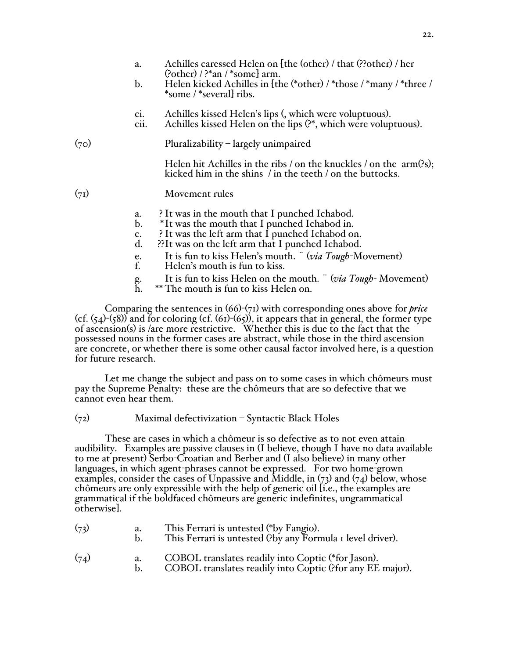|      | a.<br>b.                                           | Achilles caressed Helen on [the (other) / that (??other) / her<br>$(?other)$ / ?*an / *some] arm.<br>Helen kicked Achilles in [the (*other) / *those / *many / *three /<br>*some / *several ribs.                                                             |
|------|----------------------------------------------------|---------------------------------------------------------------------------------------------------------------------------------------------------------------------------------------------------------------------------------------------------------------|
|      | C1.<br>cii.                                        | Achilles kissed Helen's lips (, which were voluptuous).<br>Achilles kissed Helen on the lips (?*, which were voluptuous).                                                                                                                                     |
| (70) |                                                    | Pluralizability – largely unimpaired                                                                                                                                                                                                                          |
|      |                                                    | Helen hit Achilles in the ribs / on the knuckles / on the $arm(?s)$ ;<br>kicked him in the shins $\frac{1}{1}$ in the teeth $\frac{1}{1}$ on the buttocks.                                                                                                    |
| (71) |                                                    | Movement rules                                                                                                                                                                                                                                                |
|      | a.<br>$\mathbf{b}$ .<br>c.<br>$\mathbf{d}$ .<br>e. | It was in the mouth that I punched Ichabod.<br>*It was the mouth that I punched Ichabod in.<br>It was the left arm that I punched Ichabod on.<br>?? It was on the left arm that I punched Ichabod.<br>It is fun to kiss Helen's mouth. " (via Tough-Movement) |

- f. Helen's mouth is fun to kiss.
- g. It is fun to kiss Helen on the mouth. ¨ (*via Tough-* Movement)
- \*\* The mouth is fun to kiss Helen on.

Comparing the sentences in (66)-(71) with corresponding ones above for *price* (cf.  $(54)-(58)$ ) and for coloring (cf.  $(61)-(65)$ ), it appears that in general, the former type of ascension(s) is /are more restrictive. Whether this is due to the fact that the possessed nouns in the former cases are abstract, while those in the third ascension are concrete, or whether there is some other causal factor involved here, is a question for future research.

Let me change the subject and pass on to some cases in which chômeurs must pay the Supreme Penalty: these are the chômeurs that are so defective that we cannot even hear them.

# (72) Maximal defectivization – Syntactic Black Holes

These are cases in which a chômeur is so defective as to not even attain audibility. Examples are passive clauses in (I believe, though I have no data available to me at present) Serbo-Croatian and Berber and (I also believe) in many other languages, in which agent-phrases cannot be expressed. For two home-grown examples, consider the cases of Unpassive and Middle, in (73) and (74) below, whose chômeurs are only expressible with the help of generic oil [i.e., the examples are grammatical if the boldfaced chômeurs are generic indefinites, ungrammatical otherwise].

| (73) | This Ferrari is untested (*by Fangio).<br>This Ferrari is untested (?by any Formula I level driver).         |
|------|--------------------------------------------------------------------------------------------------------------|
| (74) | COBOL translates readily into Coptic (*for Jason).<br>$COMO1$ , $11$ , $11'$ , $01'$ , $01'$ , $10'$ , $10'$ |

b. COBOL translates readily into Coptic (?for any EE major).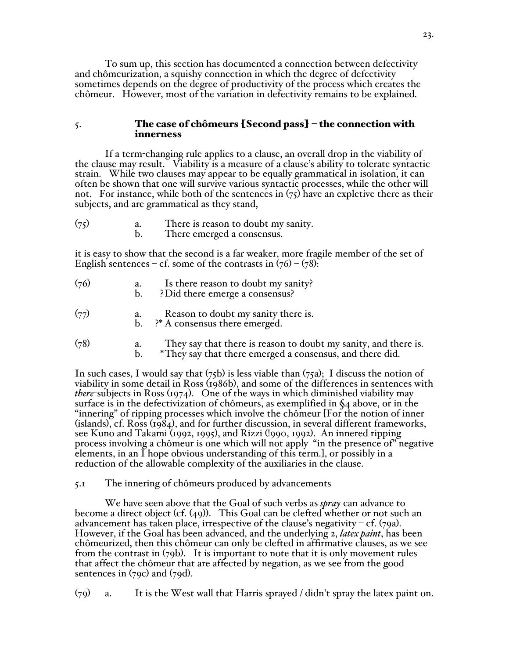To sum up, this section has documented a connection between defectivity and chômeurization, a squishy connection in which the degree of defectivity sometimes depends on the degree of productivity of the process which creates the chômeur. However, most of the variation in defectivity remains to be explained.

# 5. The case of chômeurs [Second pass] – the connection with innerness

If a term-changing rule applies to a clause, an overall drop in the viability of the clause may result. Viability is a measure of a clause's ability to tolerate syntactic strain. While two clauses may appear to be equally grammatical in isolation, it can often be shown that one will survive various syntactic processes, while the other will not. For instance, while both of the sentences in  $(75)$  have an expletive there as their subjects, and are grammatical as they stand,

(75) a. There is reason to doubt my sanity. b. There emerged a consensus.

it is easy to show that the second is a far weaker, more fragile member of the set of English sentences – cf. some of the contrasts in  $(76)$  –  $(78)$ :

- (76) a. Is there reason to doubt my sanity?
	- b. ? Did there emerge a consensus?

(77) a. Reason to doubt my sanity there is.<br>b.  $?^*$  A consensus there emerged.

- ?\* A consensus there emerged.
- $(78)$  a. They say that there is reason to doubt my sanity, and there is. b. \*They say that there emerged a consensus, and there did.

In such cases, I would say that  $(75b)$  is less viable than  $(75a)$ ; I discuss the notion of viability in some detail in Ross (1986b), and some of the differences in sentences with *there*-subjects in Ross (1974). One of the ways in which diminished viability may surface is in the defectivization of chômeurs, as exemplified in §4 above, or in the "innering" of ripping processes which involve the chômeur [For the notion of inner (islands), cf. Ross (1984), and for further discussion, in several different frameworks, see Kuno and Takami (1992, 1995), and Rizzi (!990, 1992). An innered ripping process involving a chômeur is one which will not apply "in the presence of" negative elements, in an I hope obvious understanding of this term.], or possibly in a reduction of the allowable complexity of the auxiliaries in the clause.

5.1 The innering of chômeurs produced by advancements

We have seen above that the Goal of such verbs as *spray* can advance to become a direct object (cf. (49)). This Goal can be clefted whether or not such an advancement has taken place, irrespective of the clause's negativity – cf.  $(79a)$ . However, if the Goal has been advanced, and the underlying 2, *latex paint*, has been chômeurized, then this chômeur can only be clefted in affirmative clauses, as we see from the contrast in (79b). It is important to note that it is only movement rules that affect the chômeur that are affected by negation, as we see from the good sentences in (79c) and (79d).

(79) a. It is the West wall that Harris sprayed / didn't spray the latex paint on.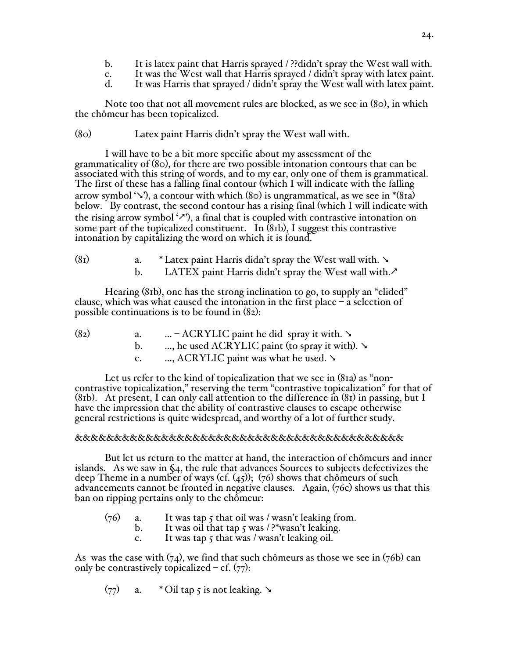- b. It is latex paint that Harris sprayed / ??didn't spray the West wall with.
- c. It was the West wall that Harris sprayed / didn't spray with latex paint.
- It was Harris that sprayed / didn't spray the West wall with latex paint.

Note too that not all movement rules are blocked, as we see in (80), in which the chômeur has been topicalized.

(80) Latex paint Harris didn't spray the West wall with.

I will have to be a bit more specific about my assessment of the grammaticality of (80), for there are two possible intonation contours that can be associated with this string of words, and to my ear, only one of them is grammatical. The first of these has a falling final contour (which I will indicate with the falling arrow symbol ' $\vee$ '), a contour with which (80) is ungrammatical, as we see in  $*(8a)$ below. By contrast, the second contour has a rising final (which I will indicate with the rising arrow symbol  $\langle \cdot, \cdot \rangle$ , a final that is coupled with contrastive intonation on some part of the topicalized constituent. In  $(81b)$ , I suggest this contrastive intonation by capitalizing the word on which it is found.

| (8 <sub>I</sub> ) | * Latex paint Harris didn't spray the West wall with. $\searrow$ |
|-------------------|------------------------------------------------------------------|
|                   | LATEX paint Harris didn't spray the West wall with.              |

Hearing (81b), one has the strong inclination to go, to supply an "elided" clause, which was what caused the intonation in the first place  $-\hat{a}$  selection of possible continuations is to be found in (82):

| (8 <sub>2</sub> ) | a. | – ACRYLIC paint he did spray it with. $\searrow$   |
|-------------------|----|----------------------------------------------------|
|                   |    | , he used ACRYLIC paint (to spray it with). $\sim$ |
|                   | C. | , ACRYLIC paint was what he used. $\sim$           |

Let us refer to the kind of topicalization that we see in (81a) as "noncontrastive topicalization," reserving the term "contrastive topicalization" for that of (81b). At present, I can only call attention to the difference in  $(81)$  in passing, but I have the impression that the ability of contrastive clauses to escape otherwise general restrictions is quite widespread, and worthy of a lot of further study.

# &&&&&&&&&&&&&&&&&&&&&&&&&&&&&&&&&&&&&&&&&&

But let us return to the matter at hand, the interaction of chômeurs and inner islands. As we saw in  $\zeta_4$ , the rule that advances Sources to subjects defectivizes the deep Theme in a number of ways (cf.  $(45)$ ); (76) shows that chômeurs of such advancements cannot be fronted in negative clauses. Again, (76c) shows us that this ban on ripping pertains only to the chômeur:

- $(76)$  a. It was tap 5 that oil was / wasn't leaking from.
	- b. It was oil that tap  $\frac{1}{2}$  was  $\frac{1}{2}$  the vertex leaking.
		- c. It was tap  $\zeta$  that was / wasn't leaking oil.

As was the case with  $(74)$ , we find that such chômeurs as those we see in  $(76b)$  can only be contrastively topicalized – cf.  $(77)$ :

$$
(77)
$$
 a. \* Oil tap 5 is not leaking.  $\rightarrow$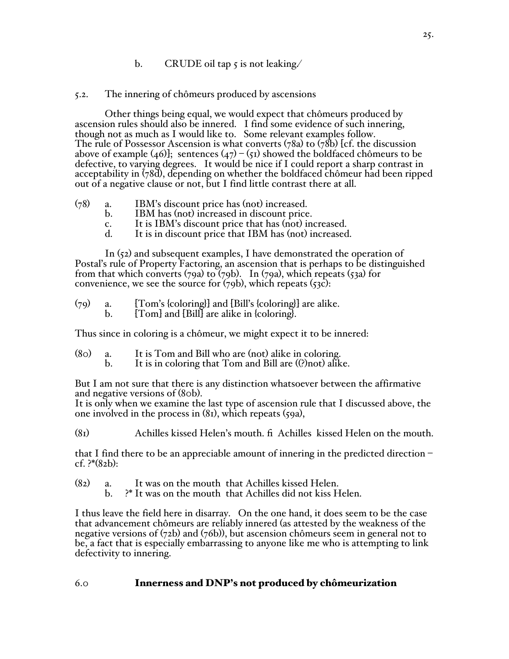# b. CRUDE oil tap  $\zeta$  is not leaking.

# 5.2. The innering of chômeurs produced by ascensions

Other things being equal, we would expect that chômeurs produced by ascension rules should also be innered. I find some evidence of such innering, though not as much as I would like to. Some relevant examples follow. The rule of Possessor Ascension is what converts (78a) to (78b) [cf. the discussion above of example (46)]; sentences (47) – (51) showed the boldfaced chômeurs to be defective, to varying degrees. It would be nice if I could report a sharp contrast in acceptability in (78d), depending on whether the boldfaced chômeur had been ripped out of a negative clause or not, but I find little contrast there at all.

- (78) a. IBM's discount price has (not) increased.
	- IBM has (not) increased in discount price.
	- c. It is IBM's discount price that has (not) increased.
	- It is in discount price that IBM has (not) increased.

In (52) and subsequent examples, I have demonstrated the operation of Postal's rule of Property Factoring, an ascension that is perhaps to be distinguished from that which converts (79a) to (79b). In (79a), which repeats (53a) for convenience, we see the source for  $(79b)$ , which repeats  $(53c)$ :

- $(79)$  a. [Tom's {coloring}] and [Bill's {coloring}] are alike.
	- b. [Tom] and [Bill] are alike in {coloring}.

Thus since in coloring is a chômeur, we might expect it to be innered:

- (80) a. It is Tom and Bill who are (not) alike in coloring.
	- It is in coloring that Tom and Bill are ((?)not) alike.

But I am not sure that there is any distinction whatsoever between the affirmative and negative versions of (80b).

It is only when we examine the last type of ascension rule that I discussed above, the one involved in the process in  $(81)$ , which repeats  $(59a)$ ,

(81) Achilles kissed Helen's mouth. fi Achilles kissed Helen on the mouth.

that I find there to be an appreciable amount of innering in the predicted direction – cf.  $?*(82b)$ :

- $(82)$  a. It was on the mouth that Achilles kissed Helen.<br>b.  $?*$  It was on the mouth that Achilles did not kiss H
	- ?\* It was on the mouth that Achilles did not kiss Helen.

I thus leave the field here in disarray. On the one hand, it does seem to be the case that advancement chômeurs are reliably innered (as attested by the weakness of the negative versions of (72b) and (76b)), but ascension chômeurs seem in general not to be, a fact that is especially embarrassing to anyone like me who is attempting to link defectivity to innering.

# 6.0 Innerness and DNP's not produced by chômeurization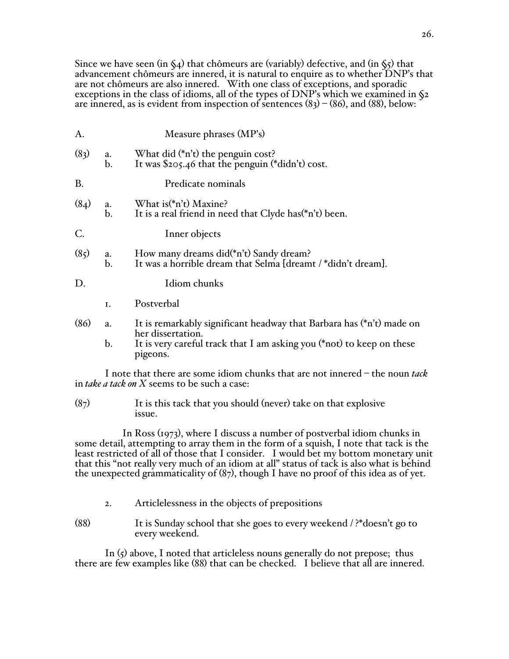Since we have seen (in  $\Im(4)$  that chômeurs are (variably) defective, and (in  $\Im(5)$  that advancement chômeurs are innered, it is natural to enquire as to whether DNP's that are not chômeurs are also innered. With one class of exceptions, and sporadic exceptions in the class of idioms, all of the types of DNP's which we examined in §2 are innered, as is evident from inspection of sentences  $(8<sub>3</sub>) - (86)$ , and  $(88)$ , below:

| А.                |                      | Measure phrases (MP's)                                                                                                       |
|-------------------|----------------------|------------------------------------------------------------------------------------------------------------------------------|
| (8 <sub>3</sub> ) | a.<br>$\mathbf{b}$ . | What did (*n't) the penguin cost?<br>It was \$205.46 that the penguin (*didn't) cost.                                        |
| Β.                |                      | Predicate nominals                                                                                                           |
| (8 <sub>4</sub> ) | a.<br>b.             | What is (*n't) Maxine?<br>It is a real friend in need that Clyde has (*n't) been.                                            |
| C.                |                      | Inner objects                                                                                                                |
| (85)              | a.<br>$\mathbf{b}$ . | How many dreams did(*n't) Sandy dream?<br>It was a horrible dream that Selma [dreamt /*didn't dream].                        |
| D.                |                      | Idiom chunks                                                                                                                 |
|                   | I.                   | Postverbal                                                                                                                   |
| (86)              | a.                   | It is remarkably significant headway that Barbara has (*n't) made on<br>her dissertation.                                    |
|                   | $\mathbf{b}$ .       | It is very careful track that I am asking you (*not) to keep on these<br>pigeons.                                            |
|                   |                      | I note that there are some idiom chunks that are not innered – the noun tack<br>in take a tack on X seems to be such a case: |

 $(87)$  It is this tack that you should (never) take on that explosive issue.

 In Ross (1973), where I discuss a number of postverbal idiom chunks in some detail, attempting to array them in the form of a squish, I note that tack is the least restricted of all of those that I consider. I would bet my bottom monetary unit that this "not really very much of an idiom at all" status of tack is also what is behind the unexpected grammaticality of (87), though I have no proof of this idea as of yet.

- 2. Articlelessness in the objects of prepositions
- (88) It is Sunday school that she goes to every weekend / ?\*doesn't go to every weekend.

In (5) above, I noted that articleless nouns generally do not prepose; thus there are few examples like (88) that can be checked. I believe that all are innered.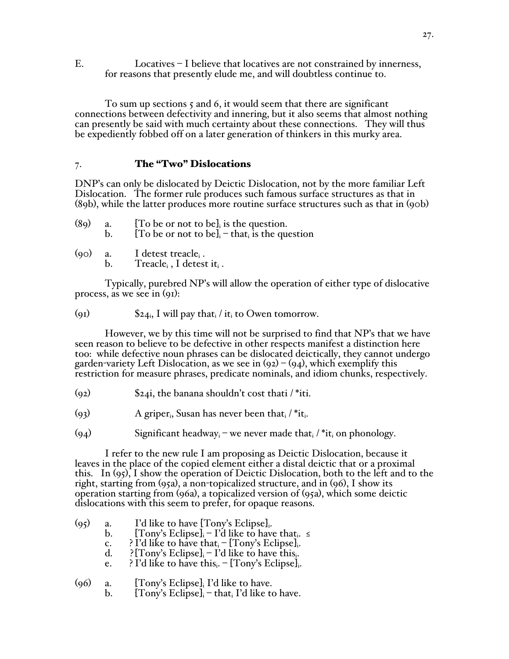E. Locatives – I believe that locatives are not constrained by innerness, for reasons that presently elude me, and will doubtless continue to.

To sum up sections 5 and 6, it would seem that there are significant connections between defectivity and innering, but it also seems that almost nothing can presently be said with much certainty about these connections. They will thus be expediently fobbed off on a later generation of thinkers in this murky area.

# 7. The "Two" Dislocations

DNP's can only be dislocated by Deictic Dislocation, not by the more familiar Left Dislocation. The former rule produces such famous surface structures as that in (89b), while the latter produces more routine surface structures such as that in (90b)

| (89) | [To be or not to be], is the question.                    |
|------|-----------------------------------------------------------|
|      | [To be or not to be] <sub>i</sub> – that, is the question |

 $(90)$  a. I detest treacle<sub>i</sub>. b. Treacle<sub>i</sub>, I detest it<sub>i</sub>.

Typically, purebred NP's will allow the operation of either type of dislocative process, as we see in (91):

(91)  $\$\mathbf{24_i}, \mathbf{I} \text{ will pay that } \mathbf{i} \times \mathbf{I} \text{ to Owen tomorrow.}$ 

However, we by this time will not be surprised to find that NP's that we have seen reason to believe to be defective in other respects manifest a distinction here too: while defective noun phrases can be dislocated deictically, they cannot undergo garden-variety Left Dislocation, as we see in  $(q_2) - (q_4)$ , which exemplify this restriction for measure phrases, predicate nominals, and idiom chunks, respectively.

- $(92)$  \$24i, the banana shouldn't cost thati /\*iti.
- (93) A griper<sub>i</sub>, Susan has never been that  $/$  \*it.
- (94) Significant headway<sub>i</sub> we never made that  $/$  \*it<sub>i</sub> on phonology.

I refer to the new rule I am proposing as Deictic Dislocation, because it leaves in the place of the copied element either a distal deictic that or a proximal this. In (95), I show the operation of Deictic Dislocation, both to the left and to the right, starting from (95a), a non-topicalized structure, and in (96), I show its operation starting from (96a), a topicalized version of (95a), which some deictic dislocations with this seem to prefer, for opaque reasons.

| a. | I'd like to have [Tony's Eclipse].                                                                                                                                                                                                                                                                                                                                                               |
|----|--------------------------------------------------------------------------------------------------------------------------------------------------------------------------------------------------------------------------------------------------------------------------------------------------------------------------------------------------------------------------------------------------|
| b. | [Tony's Eclipse] <sub>i</sub> – I'd like to have that $\le$                                                                                                                                                                                                                                                                                                                                      |
| c. | ? I'd like to have that $-[Tom's Eclipse]$ .                                                                                                                                                                                                                                                                                                                                                     |
| d. | $\{Tom\$ 's Eclipse] <sub>i</sub> – I'd like to have this.                                                                                                                                                                                                                                                                                                                                       |
| e. | ? I'd like to have this. - [Tony's Eclipse].                                                                                                                                                                                                                                                                                                                                                     |
| a. | [Tony's Eclipse], I'd like to have.<br>$\mathbf{F} \mathbf{T} \mathbf{F}$ , $\mathbf{F} \mathbf{F}$ , $\mathbf{F} \mathbf{F}$ , $\mathbf{F} \mathbf{F}$ , $\mathbf{F} \mathbf{F}$ , $\mathbf{F} \mathbf{F}$ , $\mathbf{F} \mathbf{F}$ , $\mathbf{F} \mathbf{F}$ , $\mathbf{F} \mathbf{F}$ , $\mathbf{F} \mathbf{F}$ , $\mathbf{F} \mathbf{F}$ , $\mathbf{F} \mathbf{F}$ , $\mathbf{F} \mathbf{F$ |
|    |                                                                                                                                                                                                                                                                                                                                                                                                  |

b. [Tony's Eclipse] $_i$  – that I'd like to have.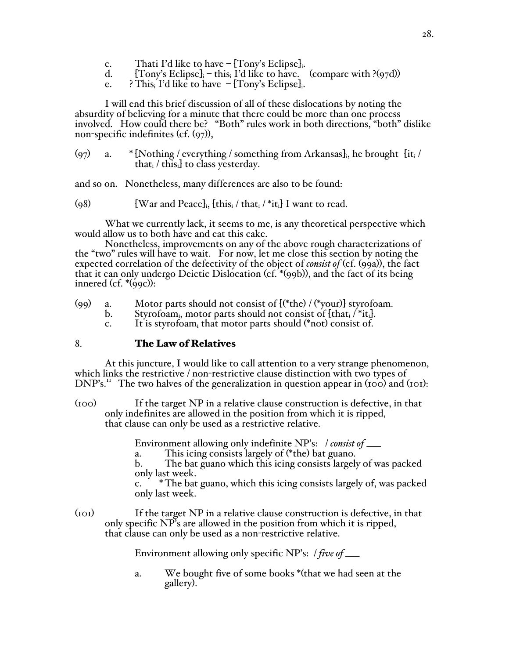- c. Thati I'd like to have  $[Tom\text{'s}$  Eclipse]<sub>i</sub>.<br>d.  $[Tom\text{'s}$  Eclipse]<sub>i</sub> this, I'd like to have.
- [Tony's Eclipse] $_i$  this $_i$  I'd like to have. (compare with ?(97d))
- e. ? This I'd like to have  $-$  [Tony's Eclipse].

I will end this brief discussion of all of these dislocations by noting the absurdity of believing for a minute that there could be more than one process involved. How could there be? "Both" rules work in both directions, "both" dislike non-specific indefinites (cf. (97)),

 $(97)$  a. \* [Nothing / everything / something from Arkansas], he brought [it. that $_i$  / this $_i$  to class yesterday.

and so on. Nonetheless, many differences are also to be found:

(98) [War and Peace]<sub>i</sub>,  $\left[\text{this}_i / \text{that}_i / \text{*} \text{it}_i\right]$  I want to read.

What we currently lack, it seems to me, is any theoretical perspective which would allow us to both have and eat this cake.

Nonetheless, improvements on any of the above rough characterizations of the "two" rules will have to wait. For now, let me close this section by noting the expected correlation of the defectivity of the object of *consist of* (cf. (99a)), the fact that it can only undergo Deictic Dislocation (cf. \*(99b)), and the fact of its being innered (cf.  $*(qqc)$ ):

- (99) a. Motor parts should not consist of  $[{(*the) / (*your)}]$  styrofoam.
	- b. Styrofoam<sub>i</sub>, motor parts should not consist of  $\text{that}_i / \text{at}_i$ .
	- c. It is styrofoam<sub>i</sub> that motor parts should  $(*not)$  consist of.

### 8. The Law of Relatives

At this juncture, I would like to call attention to a very strange phenomenon, which links the restrictive / non-restrictive clause distinction with two types of DNP's.<sup>11</sup> The two halves of the generalization in question appear in (100) and (101):

(100) If the target NP in a relative clause construction is defective, in that only indefinites are allowed in the position from which it is ripped, that clause can only be used as a restrictive relative.

Environment allowing only indefinite NP's: / *consist of* \_\_\_

a. This icing consists largely of (\*the) bat guano.

b. The bat guano which this icing consists largely of was packed only last week.

c. \* The bat guano, which this icing consists largely of, was packed only last week.

(101) If the target NP in a relative clause construction is defective, in that only specific NP's are allowed in the position from which it is ripped, that clause can only be used as a non-restrictive relative.

Environment allowing only specific NP's: / *five of* \_\_\_

a. We bought five of some books \*(that we had seen at the gallery).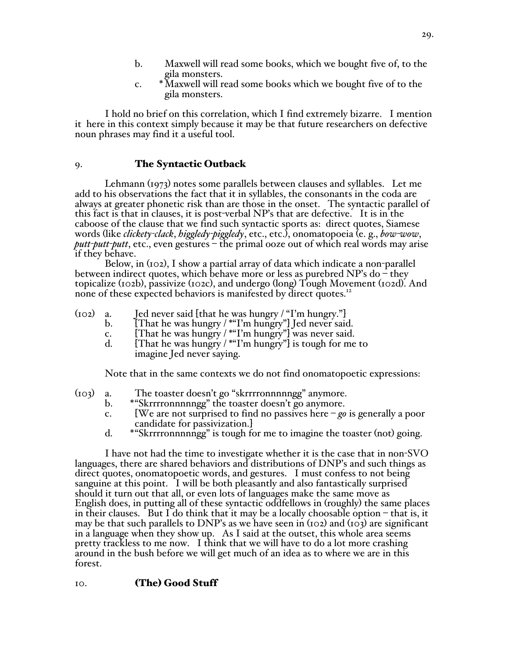- b. Maxwell will read some books, which we bought five of, to the gila monsters.
- c. \*Maxwell will read some books which we bought five of to the gila monsters.

I hold no brief on this correlation, which I find extremely bizarre. I mention it here in this context simply because it may be that future researchers on defective noun phrases may find it a useful tool.

# 9. The Syntactic Outback

Lehmann (1973) notes some parallels between clauses and syllables. Let me add to his observations the fact that it in syllables, the consonants in the coda are always at greater phonetic risk than are those in the onset. The syntactic parallel of this fact is that in clauses, it is post-verbal NP's that are defective. It is in the caboose of the clause that we find such syntactic sports as: direct quotes, Siamese words (like *clickety-clack*, *higgledy-piggledy*, etc., etc.), onomatopoeia (e. g., *bow-wow*, *putt-putt-putt*, etc., even gestures – the primal ooze out of which real words may arise if they behave.

Below, in (102), I show a partial array of data which indicate a non-parallel between indirect quotes, which behave more or less as purebred NP's do – they topicalize (102b), passivize (102c), and undergo (long) Tough Movement (102d). And none of these expected behaviors is manifested by direct quotes.<sup>12</sup>

- (102) a. Jed never said [that he was hungry / "I'm hungry."]<br>b. [That he was hungry / \* "I'm hungry"] Ied never said
	- b. [That he was hungry / \*"I'm hungry"] Jed never said.
		- c. [That he was hungry / \*"I'm hungry"] was never said.
		- d. [That he was hungry / \*"I'm hungry"] is tough for me to imagine Jed never saying.

Note that in the same contexts we do not find onomatopoetic expressions:

- (103) a. The toaster doesn't go "skrrrronnnnngg" anymore.
	- b. \*"Skrrrronnnnngg" the toaster doesn't go anymore.
	- c. [We are not surprised to find no passives here *go* is generally a poor candidate for passivization.]
	- d. \*"Skrrrronnnnngg" is tough for me to imagine the toaster (not) going.

I have not had the time to investigate whether it is the case that in non-SVO languages, there are shared behaviors and distributions of DNP's and such things as direct quotes, onomatopoetic words, and gestures. I must confess to not being sanguine at this point. I will be both pleasantly and also fantastically surprised should it turn out that all, or even lots of languages make the same move as English does, in putting all of these syntactic oddfellows in (roughly) the same places in their clauses. But I do think that it may be a locally choosable option  $-$  that is, it may be that such parallels to DNP's as we have seen in ( $102$ ) and ( $103$ ) are significant in a language when they show up. As I said at the outset, this whole area seems pretty trackless to me now. I think that we will have to do a lot more crashing around in the bush before we will get much of an idea as to where we are in this forest.

# 10. (The) Good Stuff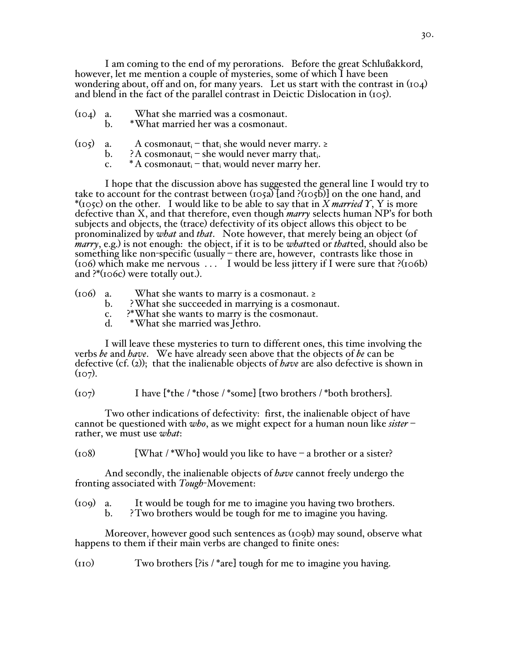I am coming to the end of my perorations. Before the great Schlußakkord, however, let me mention a couple of mysteries, some of which I have been wondering about, off and on, for many years. Let us start with the contrast in (104) and blend in the fact of the parallel contrast in Deictic Dislocation in (105).

- (104) a. What she married was a cosmonaut.
	- b. \*What married her was a cosmonaut.
- (105) a. A cosmonaut<sub>i</sub> that<sub>i</sub> she would never marry. ≥
	- b.  $\lambda$  cosmonaut<sub>i</sub> she would never marry that.
	- c.  $* A constant_i = that_i$  would never marry her.

I hope that the discussion above has suggested the general line I would try to take to account for the contrast between (105a) [and ?(105b)] on the one hand, and \*(105c) on the other. I would like to be able to say that in *X married Y*, Y is more defective than X, and that therefore, even though *marry* selects human NP's for both<br>subjects and objects, the (trace) defectivity of its object allows this object to be pronominalized by *what* and *that*. Note however, that merely being an object (of *marry*, e.g.) is not enough: the object, if it is to be *what*ted or *that*ted, should also be something like non-specific (usually – there are, however, contrasts like those in (106) which make me nervous . . . I would be less jittery if I were sure that ?(106b) and ?\*(106c) were totally out.).

- $(106)$  a. What she wants to marry is a cosmonaut. ≥
	- b. ?What she succeeded in marrying is a cosmonaut.
	- c. <sup>2\*</sup>What she wants to marry is the cosmonaut.<br>d. \*What she married was Jethro.
	- \*What she married was Jethro.

I will leave these mysteries to turn to different ones, this time involving the verbs *be* and *have*. We have already seen above that the objects of *be* can be defective (cf. (2)); that the inalienable objects of *have* are also defective is shown in  $(107)$ .

 $(107)$  I have [\*the / \*those / \*some] [two brothers / \*both brothers].

Two other indications of defectivity: first, the inalienable object of have cannot be questioned with *who*, as we might expect for a human noun like *sister* – rather, we must use *what*:

 $(108)$  [What /\*Who] would you like to have – a brother or a sister?

And secondly, the inalienable objects of *have* cannot freely undergo the fronting associated with *Tough*-Movement:

(109) a. It would be tough for me to imagine you having two brothers.<br>b. ? Two brothers would be tough for me to imagine you having.

b. ?Two brothers would be tough for me to imagine you having.

Moreover, however good such sentences as (109b) may sound, observe what happens to them if their main verbs are changed to finite ones:

(110) Two brothers [?is / \*are] tough for me to imagine you having.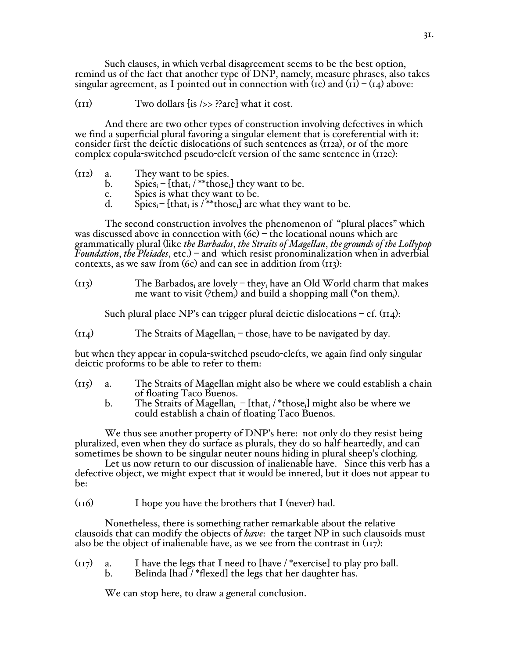Such clauses, in which verbal disagreement seems to be the best option, remind us of the fact that another type of DNP, namely, measure phrases, also takes singular agreement, as I pointed out in connection with ( $\text{rc}$ ) and  $\text{tr}(-\text{tr})$  above:

 $(TII)$  Two dollars  $[is \rightarrow > ?]$  what it cost.

And there are two other types of construction involving defectives in which we find a superficial plural favoring a singular element that is coreferential with it: consider first the deictic dislocations of such sentences as (112a), or of the more complex copula-switched pseudo-cleft version of the same sentence in (112c):

- (112) a. They want to be spies.
	- b. Spies<sub>i</sub> [that<sub>i</sub> / \*\*those<sub>i</sub>] they want to be.
	- c. Spies is what they want to be.<br>d. Spies [that. is /\*\*those.] are v
	- $\text{Spies}_{i}$  [that<sub>i</sub> is /\*\*those<sub>i</sub>] are what they want to be.

The second construction involves the phenomenon of "plural places" which was discussed above in connection with  $(6c)$  – the locational nouns which are grammatically plural (like *the Barbados*, *the Straits of Magellan*, *the grounds of the Lollypop Foundation*, *the Pleiades*, etc.) – and which resist pronominalization when in adverbial contexts, as we saw from  $(6c)$  and can see in addition from  $(113)$ :

 $(n_1)$  The Barbados<sub>i</sub> are lovely – they<sub>i</sub> have an Old World charm that makes me want to visit (?them<sub>i</sub>) and build a shopping mall (\*on them<sub>i</sub>).

Such plural place NP's can trigger plural deictic dislocations  $= cf. (114)$ :

 $(i_{I4})$  The Straits of Magellan<sub>i</sub> – those<sub>i</sub> have to be navigated by day.

but when they appear in copula-switched pseudo-clefts, we again find only singular deictic proforms to be able to refer to them:

- (115) a. The Straits of Magellan might also be where we could establish a chain of floating Taco Buenos.
	- b. The Straits of Magellan<sub>i</sub> [that<sub>i</sub> / \*those<sub>i</sub>] might also be where we could establish a chain of floating Taco Buenos.

We thus see another property of DNP's here: not only do they resist being pluralized, even when they do surface as plurals, they do so half-heartedly, and can sometimes be shown to be singular neuter nouns hiding in plural sheep's clothing.

Let us now return to our discussion of inalienable have. Since this verb has a defective object, we might expect that it would be innered, but it does not appear to be:

(116) I hope you have the brothers that I (never) had.

Nonetheless, there is something rather remarkable about the relative clausoids that can modify the objects of *have*: the target NP in such clausoids must also be the object of inalienable have, as we see from the contrast in  $(117)$ :

 $(n_7)$  a. I have the legs that I need to [have / \* exercise] to play pro ball. b. Belinda [had / \*flexed] the legs that her daughter has.

We can stop here, to draw a general conclusion.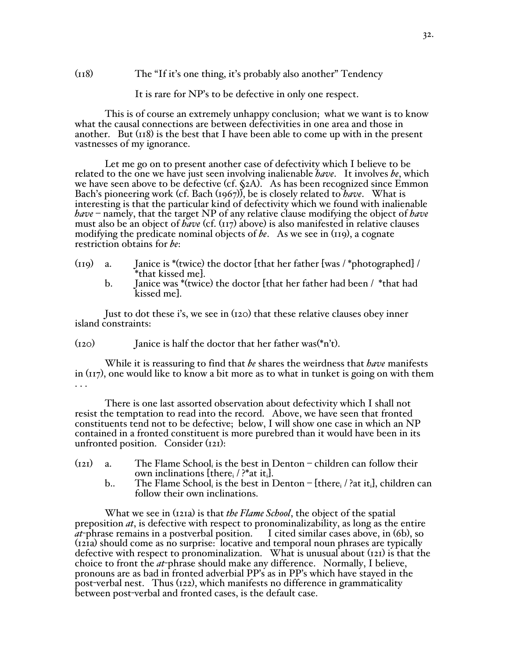(118) The "If it's one thing, it's probably also another" Tendency

It is rare for NP's to be defective in only one respect.

This is of course an extremely unhappy conclusion; what we want is to know what the causal connections are between defectivities in one area and those in another. But  $(\pi 8)$  is the best that I have been able to come up with in the present vastnesses of my ignorance.

Let me go on to present another case of defectivity which I believe to be related to the one we have just seen involving inalienable *have*. It involves *be*, which we have seen above to be defective (cf. §2A). As has been recognized since Emmon Bach's pioneering work (cf. Bach (1967)), be is closely related to *have*. What is interesting is that the particular kind of defectivity which we found with inalienable *have* – namely, that the target NP of any relative clause modifying the object of *have* must also be an object of *have* (cf. (117) above) is also manifested in relative clauses modifying the predicate nominal objects of *be*. As we see in (119), a cognate restriction obtains for *be*:

- (119) a. Janice is \*(twice) the doctor [that her father [was / \*photographed] / \*that kissed me].
	- b. Janice was \*(twice) the doctor [that her father had been / \*that had kissed me].

Just to dot these i's, we see in (120) that these relative clauses obey inner island constraints:

 $(120)$  Janice is half the doctor that her father was(\*n't).

While it is reassuring to find that *be* shares the weirdness that *have* manifests in (117), one would like to know a bit more as to what in tunket is going on with them . . .

There is one last assorted observation about defectivity which I shall not resist the temptation to read into the record. Above, we have seen that fronted constituents tend not to be defective; below, I will show one case in which an NP contained in a fronted constituent is more purebred than it would have been in its unfronted position. Consider (121):

- $(121)$  a. The Flame School, is the best in Denton children can follow their own inclinations [there<sub>i</sub> / ?\*at it<sub>i</sub>].
	- b.. The Flame School, is the best in Denton [there,  $/$  ?at it, ], children can follow their own inclinations.

What we see in (121a) is that *the Flame School*, the object of the spatial preposition *at*, is defective with respect to pronominalizability, as long as the entire *at*-phrase remains in a postverbal position. I cited similar cases above, in (6b), so (121a) should come as no surprise: locative and temporal noun phrases are typically defective with respect to pronominalization. What is unusual about  $(i21)$  is that the choice to front the *at*-phrase should make any difference. Normally, I believe, pronouns are as bad in fronted adverbial PP's as in PP's which have stayed in the post-verbal nest. Thus (122), which manifests no difference in grammaticality between post-verbal and fronted cases, is the default case.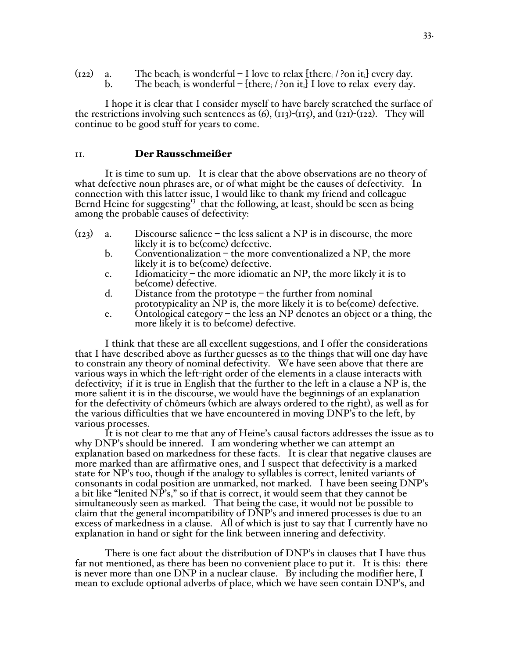| $(i22)$ a. | The beach, is wonderful – I love to relax [there, $\ell$ ?on it,] every day. |
|------------|------------------------------------------------------------------------------|
|            | The beach, is wonderful – [there, $/$ ?on it,] I love to relax every day.    |

I hope it is clear that I consider myself to have barely scratched the surface of the restrictions involving such sentences as  $(6)$ ,  $(113)-(115)$ , and  $(121)-(122)$ . They will continue to be good stuff for years to come.

#### 11. Der Rausschmeißer

It is time to sum up. It is clear that the above observations are no theory of what defective noun phrases are, or of what might be the causes of defectivity. In connection with this latter issue, I would like to thank my friend and colleague Bernd Heine for suggesting<sup>13</sup> that the following, at least, should be seen as being among the probable causes of defectivity:

- $(123)$  a. Discourse salience the less salient a NP is in discourse, the more likely it is to be(come) defective.
	- b. Conventionalization the more conventionalized a  $NP$ , the more likely it is to be(come) defective.
	- c. Idiomaticity the more idiomatic an NP, the more likely it is to be(come) defective.
	- d. Distance from the prototype the further from nominal prototypicality an NP is, the more likely it is to be(come) defective.
	- e. Ontological category the less an NP denotes an object or a thing, the more likely it is to be(come) defective.

I think that these are all excellent suggestions, and I offer the considerations that I have described above as further guesses as to the things that will one day have to constrain any theory of nominal defectivity. We have seen above that there are various ways in which the left-right order of the elements in a clause interacts with defectivity; if it is true in English that the further to the left in a clause a NP is, the more salient it is in the discourse, we would have the beginnings of an explanation for the defectivity of chômeurs (which are always ordered to the right), as well as for the various difficulties that we have encountered in moving DNP's to the left, by various processes.

It is not clear to me that any of Heine's causal factors addresses the issue as to why DNP's should be innered. I am wondering whether we can attempt an explanation based on markedness for these facts. It is clear that negative clauses are more marked than are affirmative ones, and I suspect that defectivity is a marked state for NP's too, though if the analogy to syllables is correct, lenited variants of consonants in codal position are unmarked, not marked. I have been seeing DNP's a bit like "lenited NP's," so if that is correct, it would seem that they cannot be simultaneously seen as marked. That being the case, it would not be possible to claim that the general incompatibility of DNP's and innered processes is due to an excess of markedness in a clause. All of which is just to say that I currently have no explanation in hand or sight for the link between innering and defectivity.

There is one fact about the distribution of DNP's in clauses that I have thus far not mentioned, as there has been no convenient place to put it. It is this: there is never more than one DNP in a nuclear clause. By including the modifier here, I mean to exclude optional adverbs of place, which we have seen contain DNP's, and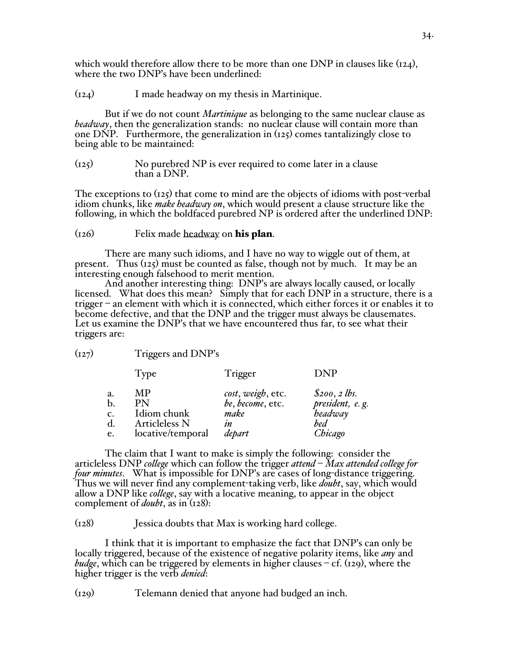which would therefore allow there to be more than one DNP in clauses like  $(r_{24})$ , where the two DNP's have been underlined:

(124) I made headway on my thesis in Martinique.

But if we do not count *Martinique* as belonging to the same nuclear clause as *headway*, then the generalization stands: no nuclear clause will contain more than one DNP. Furthermore, the generalization in  $(125)$  comes tantalizingly close to being able to be maintained:

(125) No purebred NP is ever required to come later in a clause than a DNP.

The exceptions to (125) that come to mind are the objects of idioms with post-verbal idiom chunks, like *make headway on*, which would present a clause structure like the following, in which the boldfaced purebred NP is ordered after the underlined DNP:

# $(126)$  Felix made headway on his plan.

There are many such idioms, and I have no way to wiggle out of them, at present. Thus  $(125)$  must be counted as false, though not by much. It may be an interesting enough falsehood to merit mention.

And another interesting thing: DNP's are always locally caused, or locally licensed. What does this mean? Simply that for each DNP in a structure, there is a trigger – an element with which it is connected, which either forces it or enables it to become defective, and that the DNP and the trigger must always be clausemates. Let us examine the DNP's that we have encountered thus far, to see what their triggers are:

(127) Triggers and DNP's

|               | Type              | Trigger           | DNP                        |
|---------------|-------------------|-------------------|----------------------------|
| a.            | MР                | cost, weigh, etc. | $$200, 2$ lbs.             |
| $\mathbf b$ . | PN                | be, become, etc.  |                            |
| c.            | Idiom chunk       | make              | president, e.g.<br>headway |
| d.            | Articleless N     | ın                | bed                        |
| e.            | locative/temporal | depart            | Chicago                    |

The claim that I want to make is simply the following: consider the articleless DNP *college* which can follow the trigger *attend* – *Max attended college for four minutes*. What is impossible for DNP's are cases of long-distance triggering. Thus we will never find any complement-taking verb, like *doubt*, say, which would allow a DNP like *college*, say with a locative meaning, to appear in the object complement of *doubt*, as in (128):

(128) Jessica doubts that Max is working hard college.

I think that it is important to emphasize the fact that DNP's can only be locally triggered, because of the existence of negative polarity items, like *any* and *budge*, which can be triggered by elements in higher clauses – cf. (129), where the higher trigger is the verb *denied*:

(129) Telemann denied that anyone had budged an inch.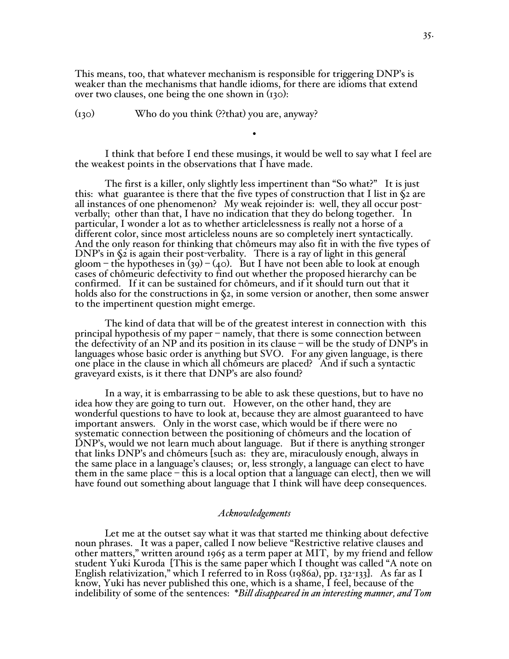This means, too, that whatever mechanism is responsible for triggering DNP's is weaker than the mechanisms that handle idioms, for there are idioms that extend over two clauses, one being the one shown in (130):

(130) Who do you think (??that) you are, anyway?

I think that before I end these musings, it would be well to say what I feel are the weakest points in the observations that I have made.

•

The first is a killer, only slightly less impertinent than "So what?" It is just this: what guarantee is there that the five types of construction that I list in  $\Im$  are all instances of one phenomenon? My weak rejoinder is: well, they all occur postverbally; other than that, I have no indication that they do belong together. In particular, I wonder a lot as to whether articlelessness is really not a horse of a different color, since most articleless nouns are so completely inert syntactically. And the only reason for thinking that chômeurs may also fit in with the five types of DNP's in §2 is again their post-verbality. There is a ray of light in this general gloom – the hypotheses in (39) – (40). But I have not been able to look at enough cases of chômeuric defectivity to find out whether the proposed hierarchy can be confirmed. If it can be sustained for chômeurs, and if it should turn out that it holds also for the constructions in §2, in some version or another, then some answer to the impertinent question might emerge.

The kind of data that will be of the greatest interest in connection with this principal hypothesis of my paper – namely, that there is some connection between the defectivity of an NP and its position in its clause – will be the study of DNP's in languages whose basic order is anything but SVO. For any given language, is there one place in the clause in which all chômeurs are placed? And if such a syntactic graveyard exists, is it there that DNP's are also found?

In a way, it is embarrassing to be able to ask these questions, but to have no idea how they are going to turn out. However, on the other hand, they are wonderful questions to have to look at, because they are almost guaranteed to have important answers. Only in the worst case, which would be if there were no systematic connection between the positioning of chômeurs and the location of DNP's, would we not learn much about language. But if there is anything stronger that links DNP's and chômeurs [such as: they are, miraculously enough, always in the same place in a language's clauses; or, less strongly, a language can elect to have them in the same place – this is a local option that a language can elect], then we will have found out something about language that I think will have deep consequences.

# *Acknowledgements*

Let me at the outset say what it was that started me thinking about defective noun phrases. It was a paper, called I now believe "Restrictive relative clauses and other matters," written around 1965 as a term paper at MIT, by my friend and fellow student Yuki Kuroda [This is the same paper which I thought was called "A note on English relativization," which I referred to in Ross (1986a), pp. 132-133]. As far as I know, Yuki has never published this one, which is a shame, I feel, because of the indelibility of some of the sentences: \**Bill disappeared in an interesting manner, and Tom*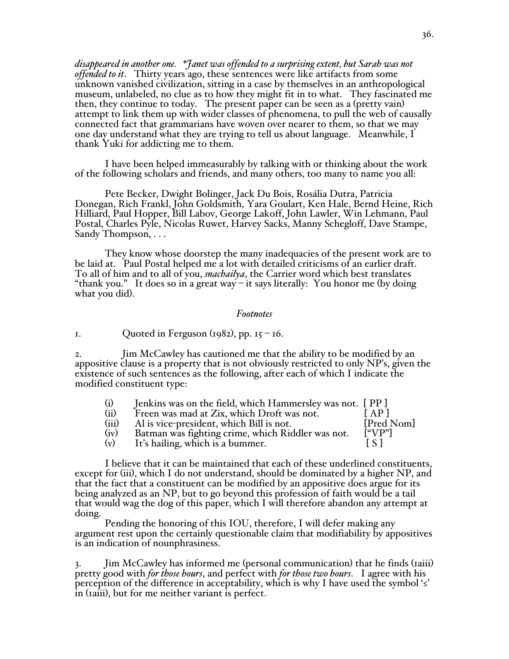*disappeared in another one. \*Janet was offended to a surprising extent, but Sarah was not offended to it*. Thirty years ago, these sentences were like artifacts from some unknown vanished civilization, sitting in a case by themselves in an anthropological museum, unlabeled, no clue as to how they might fit in to what. They fascinated me then, they continue to today. The present paper can be seen as a (pretty vain) attempt to link them up with wider classes of phenomena, to pull the web of causally connected fact that grammarians have woven over nearer to them, so that we may one day understand what they are trying to tell us about language. Meanwhile, I thank Yuki for addicting me to them.

I have been helped immeasurably by talking with or thinking about the work of the following scholars and friends, and many others, too many to name you all:

Pete Becker, Dwight Bolinger, Jack Du Bois, Rosália Dutra, Patricia Donegan, Rich Frankl, John Goldsmith, Yara Goulart, Ken Hale, Bernd Heine, Rich Hilliard, Paul Hopper, Bill Labov, George Lakoff, John Lawler, Win Lehmann, Paul Postal, Charles Pyle, Nicolas Ruwet, Harvey Sacks, Manny Schegloff, Dave Stampe, Sandy Thompson, . . .

They know whose doorstep the many inadequacies of the present work are to be laid at. Paul Postal helped me a lot with detailed criticisms of an earlier draft. To all of him and to all of you, *snachailya*, the Carrier word which best translates "thank you." It does so in a great way – it says literally: You honor me (by doing what you did).

#### *Footnotes*

1. Quoted in Ferguson  $(1982)$ , pp.  $15 - 16$ .

2. Jim McCawley has cautioned me that the ability to be modified by an appositive clause is a property that is not obviously restricted to only NP's, given the existence of such sentences as the following, after each of which I indicate the modified constituent type:

| (i)   | Jenkins was on the field, which Hammersley was not. [PP] |                                    |
|-------|----------------------------------------------------------|------------------------------------|
| (ii)  | Freen was mad at Zix, which Droft was not.               | $^{\mathsf{r}}$ AP $_{\mathsf{L}}$ |
| (iii) | Al is vice-president, which Bill is not.                 | [Pred Nom]                         |
| (iv)  | Batman was fighting crime, which Riddler was not.        | [``VP"]                            |
| (v)   | It's hailing, which is a bummer.                         |                                    |

I believe that it can be maintained that each of these underlined constituents, except for (iii), which I do not understand, should be dominated by a higher NP, and that the fact that a constituent can be modified by an appositive does argue for its being analyzed as an NP, but to go beyond this profession of faith would be a tail that would wag the dog of this paper, which I will therefore abandon any attempt at doing.

 Pending the honoring of this IOU, therefore, I will defer making any argument rest upon the certainly questionable claim that modifiability by appositives is an indication of nounphrasiness.

3. Jim McCawley has informed me (personal communication) that he finds (1aiii) pretty good with *for those hours*, and perfect with *for those two hours*. I agree with his perception of the difference in acceptability, which is why I have used the symbol '≤' in (1aiii), but for me neither variant is perfect.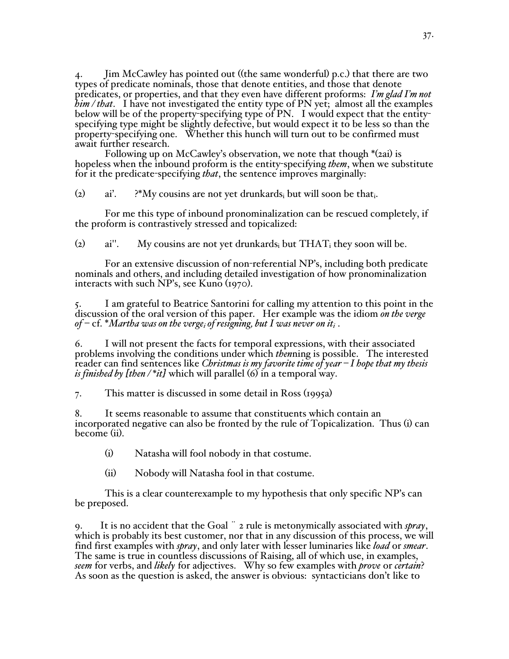4. Jim McCawley has pointed out ((the same wonderful) p.c.) that there are two types of predicate nominals, those that denote entities, and those that denote predicates, or properties, and that they even have different proforms: *I'm glad I'm not him / that*. I have not investigated the entity type of PN yet; almost all the examples below will be of the property-specifying type of PN. I would expect that the entityspecifying type might be slightly defective, but would expect it to be less so than the property-specifying one. Whether this hunch will turn out to be confirmed must await further research.

 Following up on McCawley's observation, we note that though \*(2ai) is hopeless when the inbound proform is the entity-specifying *them*, when we substitute for it the predicate-specifying *that*, the sentence improves marginally:

(2) ai'.  $?^*My$  cousins are not yet drunkards<sub>i</sub> but will soon be that.

For me this type of inbound pronominalization can be rescued completely, if the proform is contrastively stressed and topicalized:

(2) ai''. My cousins are not yet drunkards but  $THAT_i$  they soon will be.

 For an extensive discussion of non-referential NP's, including both predicate nominals and others, and including detailed investigation of how pronominalization interacts with such NP's, see Kuno (1970).

5. I am grateful to Beatrice Santorini for calling my attention to this point in the discussion of the oral version of this paper. Her example was the idiom *on the verge*  of –  $cf$ . \*Martha was on the verge<sub>i</sub> of resigning, but I was never on it<sub>i</sub>.

6. I will not present the facts for temporal expressions, with their associated problems involving the conditions under which *then*ning is possible. The interested reader can find sentences like *Christmas is my favorite time of year – I hope that my thesis is finished by [then / \*it]* which will parallel (6) in a temporal way.

7. This matter is discussed in some detail in Ross (1995a)

8. It seems reasonable to assume that constituents which contain an incorporated negative can also be fronted by the rule of Topicalization. Thus (i) can become (ii).

(i) Natasha will fool nobody in that costume.

(ii) Nobody will Natasha fool in that costume.

This is a clear counterexample to my hypothesis that only specific NP's can be preposed.

9. It is no accident that the Goal ¨ 2 rule is metonymically associated with *spray*, which is probably its best customer, nor that in any discussion of this process, we will find first examples with *spray*, and only later with lesser luminaries like *load* or *smear*. The same is true in countless discussions of Raising, all of which use, in examples, *seem* for verbs, and *likely* for adjectives. Why so few examples with *prove* or *certain*? As soon as the question is asked, the answer is obvious: syntacticians don't like to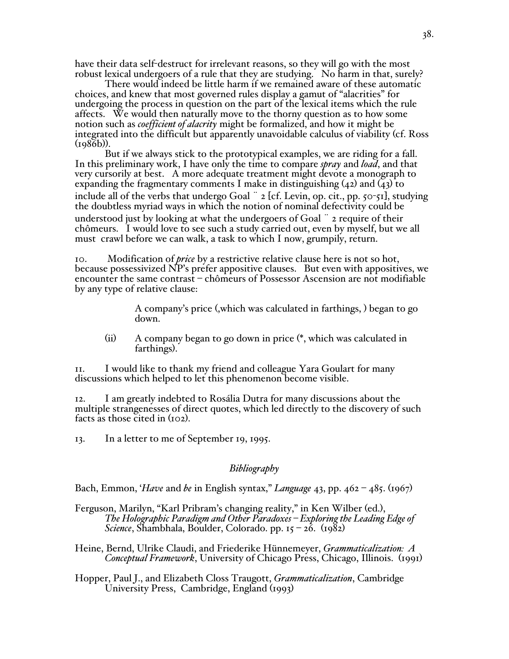have their data self-destruct for irrelevant reasons, so they will go with the most robust lexical undergoers of a rule that they are studying. No harm in that, surely?

There would indeed be little harm if we remained aware of these automatic choices, and knew that most governed rules display a gamut of "alacrities" for undergoing the process in question on the part of the lexical items which the rule affects. We would then naturally move to the thorny question as to how some notion such as *coefficient of alacrity* might be formalized, and how it might be integrated into the difficult but apparently unavoidable calculus of viability (cf. Ross (1986b)).

But if we always stick to the prototypical examples, we are riding for a fall. In this preliminary work, I have only the time to compare *spray* and *load*, and that very cursorily at best. A more adequate treatment might devote a monograph to expanding the fragmentary comments I make in distinguishing  $(42)$  and  $(43)$  to include all of the verbs that undergo Goal ¨ 2 [cf. Levin, op. cit., pp. 50-51], studying the doubtless myriad ways in which the notion of nominal defectivity could be understood just by looking at what the undergoers of Goal ¨ 2 require of their chômeurs. I would love to see such a study carried out, even by myself, but we all must crawl before we can walk, a task to which I now, grumpily, return.

10. Modification of *price* by a restrictive relative clause here is not so hot, because possessivized NP's prefer appositive clauses. But even with appositives, we encounter the same contrast – chômeurs of Possessor Ascension are not modifiable by any type of relative clause:

> A company's price (,which was calculated in farthings, ) began to go down.

(ii) A company began to go down in price (\*, which was calculated in farthings).

11. I would like to thank my friend and colleague Yara Goulart for many discussions which helped to let this phenomenon become visible.

12. I am greatly indebted to Rosália Dutra for many discussions about the multiple strangenesses of direct quotes, which led directly to the discovery of such facts as those cited in (102).

13. In a letter to me of September 19, 1995.

# *Bibliography*

Bach, Emmon, '*Have* and *be* in English syntax," *Language* 43, pp. 462 – 485. (1967)

- Ferguson, Marilyn, "Karl Pribram's changing reality," in Ken Wilber (ed.), *The Holographic Paradigm and Other Paradoxes – Exploring the Leading Edge of Science*, Shambhala, Boulder, Colorado. pp. 15 – 26. (1982)
- Heine, Bernd, Ulrike Claudi, and Friederike Hünnemeyer, *Grammaticalization: A Conceptual Framework*, University of Chicago Press, Chicago, Illinois. (1991)

Hopper, Paul J., and Elizabeth Closs Traugott, *Grammaticalization*, Cambridge University Press, Cambridge, England (1993)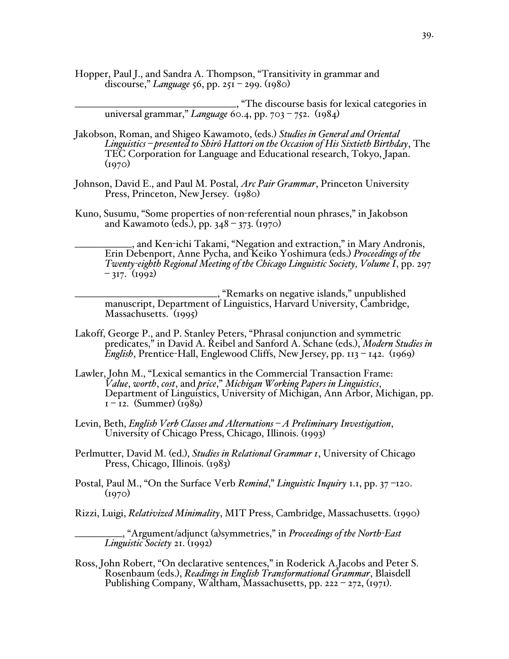Hopper, Paul J., and Sandra A. Thompson, "Transitivity in grammar and discourse," *Language* 56, pp. 251 – 299. (1980)

\_\_\_\_\_\_\_\_\_\_\_\_\_\_\_\_\_\_\_\_\_\_\_\_\_\_\_\_\_\_\_\_\_\_, "The discourse basis for lexical categories in universal grammar," *Language* 60.4, pp. 703 – 752. (1984)

- Jakobson, Roman, and Shigeo Kawamoto, (eds.) *Studies in General and Oriental Linguistics – presented to Shirô Hattori on the Occasion of His Sixtieth Birthday*, The TEC Corporation for Language and Educational research, Tokyo, Japan.  $(1970)$
- Johnson, David E., and Paul M. Postal, *Arc Pair Grammar*, Princeton University Press, Princeton, New Jersey. (1980)
- Kuno, Susumu, "Some properties of non-referential noun phrases," in Jakobson and Kawamoto (eds.), pp. 348 – 373. (1970)

\_\_\_\_\_\_\_\_\_\_\_\_, and Ken-ichi Takami, "Negation and extraction," in Mary Andronis, Erin Debenport, Anne Pycha, and Keiko Yoshimura (eds.) *Proceedings of the Twenty-eighth Regional Meeting of the Chicago Linguistic Society, Volume I*, pp. 297  $-317.$  (1992)

\_\_\_\_\_\_\_\_\_\_\_\_\_\_\_\_\_\_\_\_\_\_\_\_\_\_\_\_\_\_, "Remarks on negative islands," unpublished manuscript, Department of Linguistics, Harvard University, Cambridge, Massachusetts. (1995)

- Lakoff, George P., and P. Stanley Peters, "Phrasal conjunction and symmetric predicates," in David A. Reibel and Sanford A. Schane (eds.), *Modern Studies in English*, Prentice-Hall, Englewood Cliffs, New Jersey, pp. 113 – 142. (1969)
- Lawler, John M., "Lexical semantics in the Commercial Transaction Frame: *Value*, *worth*, *cost*, and *price*," *Michigan Working Papers in Linguistics*, Department of Linguistics, University of Michigan, Ann Arbor, Michigan, pp.  $1 - 12.$  (Summer) (1989)
- Levin, Beth, *English Verb Classes and Alternations – A Preliminary Investigation*, University of Chicago Press, Chicago, Illinois. (1993)
- Perlmutter, David M. (ed.), *Studies in Relational Grammar 1*, University of Chicago Press, Chicago, Illinois. (1983)
- Postal, Paul M., "On the Surface Verb *Remind*," *Linguistic Inquiry* 1.1, pp. 37 –120.  $(1970)$
- Rizzi, Luigi, *Relativized Minimality*, MIT Press, Cambridge, Massachusetts. (1990)

\_\_\_\_\_\_\_\_\_\_, "Argument/adjunct (a)symmetries," in *Proceedings of the North-East Linguistic Society* 21. (1992)

Ross, John Robert, "On declarative sentences," in Roderick A.Jacobs and Peter S. Rosenbaum (eds.), *Readings in English Transformational Grammar*, Blaisdell Publishing Company, Waltham, Massachusetts, pp. 222 – 272, (1971).